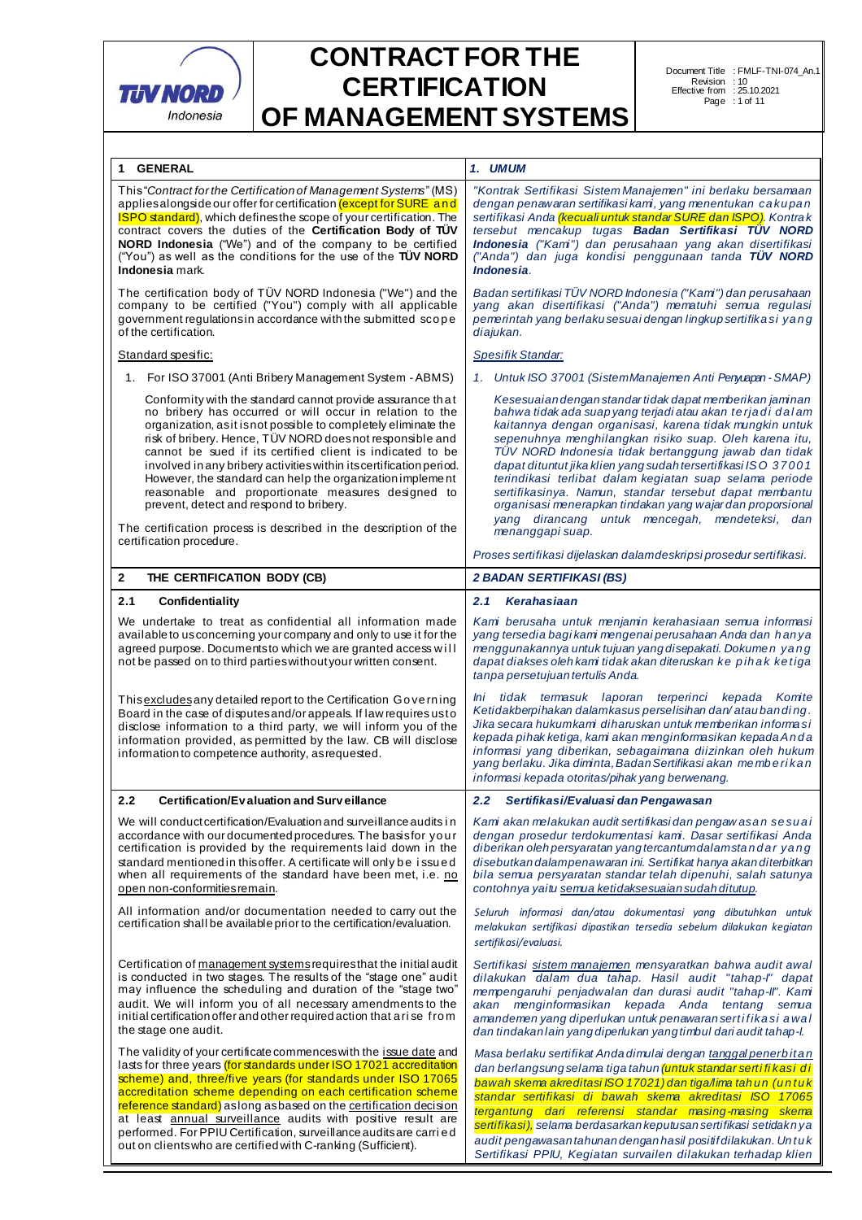

| 1 GENERAL                                                                                                                                                                                                                                                                                                                                                                                                                                                                                                                                                                                                                                               | 1. UMUM                                                                                                                                                                                                                                                                                                                                                                                                                                                                                                                                                                                                                      |  |  |
|---------------------------------------------------------------------------------------------------------------------------------------------------------------------------------------------------------------------------------------------------------------------------------------------------------------------------------------------------------------------------------------------------------------------------------------------------------------------------------------------------------------------------------------------------------------------------------------------------------------------------------------------------------|------------------------------------------------------------------------------------------------------------------------------------------------------------------------------------------------------------------------------------------------------------------------------------------------------------------------------------------------------------------------------------------------------------------------------------------------------------------------------------------------------------------------------------------------------------------------------------------------------------------------------|--|--|
| This "Contract for the Certification of Management Systems" (MS)<br>applies alongside our offer for certification (except for SURE and<br><b>ISPO standard)</b> , which defines the scope of your certification. The<br>contract covers the duties of the Certification Body of TUV<br><b>NORD Indonesia</b> ("We") and of the company to be certified<br>("You") as well as the conditions for the use of the TUV NORD<br>Indonesia mark.                                                                                                                                                                                                              | "Kontrak Sertifikasi Sistem Manajemen" ini berlaku bersamaan<br>dengan penawaran sertifikasi kam, yang menentukan cakupan<br>sertifikasi Anda (kecuali untuk standar SURE dan ISPO). Kontrak<br>tersebut mencakup tugas Badan Sertifikasi TÜV NORD<br>Indonesia ("Kam") dan perusahaan yang akan disertifikasi<br>("Anda") dan juga kondisi penggunaan tanda TÜV NORD<br>Indonesia.                                                                                                                                                                                                                                          |  |  |
| The certification body of TÜV NORD Indonesia ("We") and the<br>company to be certified ("You") comply with all applicable<br>government regulations in accordance with the submitted scope<br>of the certification.                                                                                                                                                                                                                                                                                                                                                                                                                                     | Badan sertifikasi TÜV NORD Indonesia ("Kami") dan perusahaan<br>yang akan disertifikasi ("Anda") mematuhi semua regulasi<br>pemerintah yang berlaku sesuai dengan lingkup sertifikasi yang<br>diajukan.                                                                                                                                                                                                                                                                                                                                                                                                                      |  |  |
| Standard spesific:                                                                                                                                                                                                                                                                                                                                                                                                                                                                                                                                                                                                                                      | <b>Spesifik Standar:</b>                                                                                                                                                                                                                                                                                                                                                                                                                                                                                                                                                                                                     |  |  |
| 1. For ISO 37001 (Anti Bribery Management System - ABMS)                                                                                                                                                                                                                                                                                                                                                                                                                                                                                                                                                                                                | 1. Untuk ISO 37001 (Sistem Manajemen Anti Penyuapan - SMAP)                                                                                                                                                                                                                                                                                                                                                                                                                                                                                                                                                                  |  |  |
| Conformity with the standard cannot provide assurance that<br>no bribery has occurred or will occur in relation to the<br>organization, as it is not possible to completely eliminate the<br>risk of bribery. Hence, TÜV NORD does not responsible and<br>cannot be sued if its certified client is indicated to be<br>involved in any bribery activities within its certification period.<br>However, the standard can help the organization implement<br>reasonable and proportionate measures designed to<br>prevent, detect and respond to bribery.<br>The certification process is described in the description of the<br>certification procedure. | Kesesuaian dengan standar tidak dapat memberikan jaminan<br>bahwa tidak ada suap yang terjadi atau akan terjadi dalam<br>kaitannya dengan organisasi, karena tidak mungkin untuk<br>sepenuhnya menghilangkan risiko suap. Oleh karena itu,<br>TÜV NORD Indonesia tidak bertanggung jawab dan tidak<br>dapat dituntut jika klien yang sudah tersertifikasi ISO 37001<br>terindikasi terlibat dalam kegiatan suap selama periode<br>sertifikasinya. Namun, standar tersebut dapat membantu<br>organisasi menerapkan tindakan yang wajar dan proporsional<br>yang dirancang untuk mencegah, mendeteksi, dan<br>menanggapi suap. |  |  |
|                                                                                                                                                                                                                                                                                                                                                                                                                                                                                                                                                                                                                                                         | Proses sertifikasi dijelaskan dalamdeskripsi prosedur sertifikasi.                                                                                                                                                                                                                                                                                                                                                                                                                                                                                                                                                           |  |  |
| $\mathbf{2}$<br>THE CERTIFICATION BODY (CB)                                                                                                                                                                                                                                                                                                                                                                                                                                                                                                                                                                                                             | <b>2 BADAN SERTIFIKASI (BS)</b>                                                                                                                                                                                                                                                                                                                                                                                                                                                                                                                                                                                              |  |  |
| 2.1<br>Confidentiality                                                                                                                                                                                                                                                                                                                                                                                                                                                                                                                                                                                                                                  | 2.1<br><b>Kerahasiaan</b>                                                                                                                                                                                                                                                                                                                                                                                                                                                                                                                                                                                                    |  |  |
| We undertake to treat as confidential all information made<br>available to us concerning your company and only to use it for the<br>agreed purpose. Documents to which we are granted access will<br>not be passed on to third parties without your written consent.                                                                                                                                                                                                                                                                                                                                                                                    | Kam berusaha untuk menjamin kerahasiaan semua informasi<br>yang tersedia bagi kami mengenai perusahaan Anda dan hanya<br>menggunakannya untuk tujuan yang disepakati. Dokumen yang<br>dapat diakses oleh kami tidak akan diteruskan ke pihak ketiga<br>tanpa persetujuan tertulis Anda.                                                                                                                                                                                                                                                                                                                                      |  |  |
| This excludes any detailed report to the Certification Governing<br>Board in the case of disputes and/or appeals. If law requires us to<br>disclose information to a third party, we will inform you of the<br>information provided, as permitted by the law. CB will disclose<br>information to competence authority, as requested.                                                                                                                                                                                                                                                                                                                    | Ini tidak termasuk laporan terperinci kepada Komite<br>Ketidakberpihakan dalamkasus perselisihan dan/atau banding.<br>Jika secara hukumkami diharuskan untuk memberikan informasi<br>kepada pihak ketiga, kami akan menginformasikan kepada Anda<br>informasi yang diberikan, sebagaimana diizinkan oleh hukum<br>yang berlaku. Jika diminta, Badan Sertifikasi akan memberikan<br>informasi kepada otoritas/pihak yang berwenang.                                                                                                                                                                                           |  |  |
| 2.2<br>Certification/Evaluation and Surveillance                                                                                                                                                                                                                                                                                                                                                                                                                                                                                                                                                                                                        | 2.2 Sertifikasi/Evaluasi dan Pengawasan                                                                                                                                                                                                                                                                                                                                                                                                                                                                                                                                                                                      |  |  |
| We will conduct certification/Evaluation and surveillance audits in<br>accordance with our documented procedures. The basis for your<br>certification is provided by the requirements laid down in the<br>standard mentioned in this offer. A certificate will only be issued<br>when all requirements of the standard have been met, i.e. no<br>open non-conformities remain.                                                                                                                                                                                                                                                                          | Kami akan melakukan audit sertifikasi dan pengawasan sesuai<br>dengan prosedur terdokumentasi kami. Dasar sertifikasi Anda<br>diberikan oleh persyaratan yang tercantumdalamstandar yang<br>disebutkan dalampenawaran ini. Sertifikat hanya akan diterbitkan<br>bila semua persyaratan standar telah dipenuhi, salah satunya<br>contohnya yaitu semua ketidaksesuaian sudah ditutup.                                                                                                                                                                                                                                         |  |  |
| All information and/or documentation needed to carry out the<br>certification shall be available prior to the certification/evaluation.                                                                                                                                                                                                                                                                                                                                                                                                                                                                                                                 | Seluruh informasi dan/atau dokumentasi yang dibutuhkan untuk<br>melakukan sertifikasi dipastikan tersedia sebelum dilakukan kegiatan<br>sertifikasi/evaluasi.                                                                                                                                                                                                                                                                                                                                                                                                                                                                |  |  |
| Certification of management systems requires that the initial audit<br>is conducted in two stages. The results of the "stage one" audit<br>may influence the scheduling and duration of the "stage two"<br>audit. We will inform you of all necessary amendments to the<br>initial certification offer and other required action that a rise from<br>the stage one audit.                                                                                                                                                                                                                                                                               | Sertifikasi sistem manajemen mensyaratkan bahwa audit awal<br>dilakukan dalam dua tahap. Hasil audit "tahap-l" dapat<br>mempengaruhi penjadwalan dan durasi audit "tahap-ll". Kami<br>akan menginformasikan kepada Anda tentang semua<br>amandemen yang diperlukan untuk penawaran sertifikasi awal<br>dan tindakan lain yang diperlukan yang timbul dari audit tahap-l.                                                                                                                                                                                                                                                     |  |  |
| The validity of your certificate commences with the issue date and<br>lasts for three years (for standards under ISO 17021 accreditation<br>scheme) and, three/five years (for standards under ISO 17065<br>accreditation scheme depending on each certification scheme<br>reference standard) as long as based on the certification decision<br>at least annual surveillance audits with positive result are<br>performed. For PPIU Certification, surveillance audits are carried<br>out on clients who are certified with C-ranking (Sufficient).                                                                                                    | Masa berlaku sertifikat Anda dimulai dengan tanggal penerbitan<br>dan berlangsung selama tiga tahun <i>(untuk standar sertifikasi di</i><br>bawah skema akreditasi ISO 17021) dan tiga/lima tahun (untuk<br>standar sertifikasi di bawah skema akreditasi ISO 17065<br>tergantung dari referensi standar masing-masing skema<br>sertifikasi), selama berdasarkan keputusan sertifikasi setidakn ya<br>audit pengawasan tahunan dengan hasil positif dilakukan. Untuk<br>Sertifikasi PPIU, Kegiatan survailen dilakukan terhadap klien                                                                                        |  |  |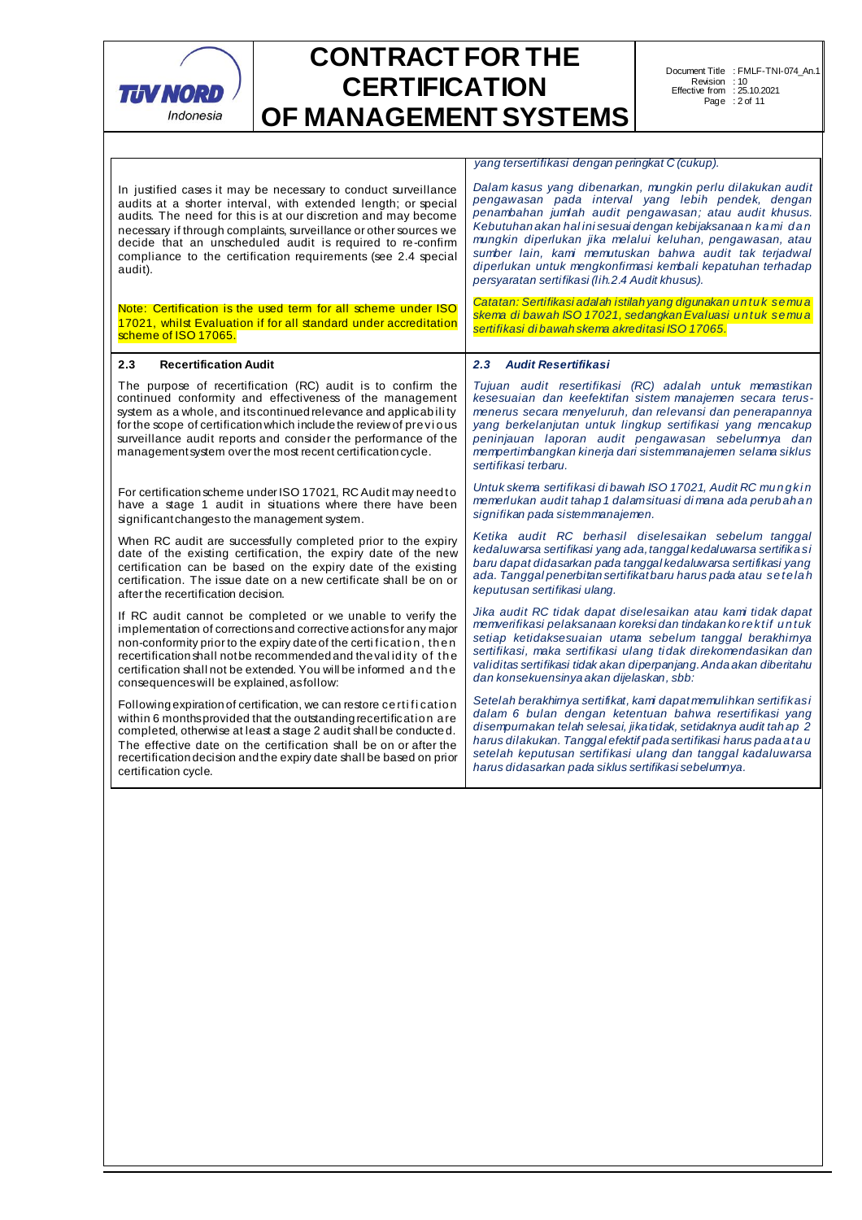

Г

# **CONTRACT FOR THE CERTIFICATION OF MANAGEMENT SYSTEMS**

Document Title Revision Effective from Page : FMLF-TNI-074\_An.1 : 10 : 25.10.2021 : 2 of 11

*yang tersertifikasi dengan peringkat C (cukup).*

| In justified cases it may be necessary to conduct surveillance<br>audits at a shorter interval, with extended length; or special<br>audits. The need for this is at our discretion and may become<br>necessary if through complaints, surveillance or other sources we<br>decide that an unscheduled audit is required to re-confirm<br>compliance to the certification requirements (see 2.4 special<br>audit). | Dalam kasus yang dibenarkan, mungkin perlu dilakukan audit<br>pengawasan pada interval yang lebih pendek, dengan<br>penambahan jumlah audit pengawasan; atau audit khusus.<br>Kebutuhan akan halini sesuai dengan kebijaksanaan kami dan<br>mungkin diperlukan jika melalui keluhan, pengawasan, atau<br>sumber lain, kami memutuskan bahwa audit tak terjadwal<br>diperlukan untuk mengkonfirmasi kembali kepatuhan terhadap<br>persyaratan sertifikasi (lih.2.4 Audit khusus). |  |
|------------------------------------------------------------------------------------------------------------------------------------------------------------------------------------------------------------------------------------------------------------------------------------------------------------------------------------------------------------------------------------------------------------------|----------------------------------------------------------------------------------------------------------------------------------------------------------------------------------------------------------------------------------------------------------------------------------------------------------------------------------------------------------------------------------------------------------------------------------------------------------------------------------|--|
| Note: Certification is the used term for all scheme under ISO                                                                                                                                                                                                                                                                                                                                                    | Catatan: Sertifikasi adalah istilah yang digunakan untuk semua                                                                                                                                                                                                                                                                                                                                                                                                                   |  |
| 17021, whilst Evaluation if for all standard under accreditation                                                                                                                                                                                                                                                                                                                                                 | skema di bawah ISO 17021, sedangkan Evaluasi untuk semua                                                                                                                                                                                                                                                                                                                                                                                                                         |  |
| scheme of ISO 17065.                                                                                                                                                                                                                                                                                                                                                                                             | sertifikasi di bawah skema akreditasi ISO 17065.                                                                                                                                                                                                                                                                                                                                                                                                                                 |  |
| <b>Recertification Audit</b><br>2.3                                                                                                                                                                                                                                                                                                                                                                              | 2.3 Audit Resertifikasi                                                                                                                                                                                                                                                                                                                                                                                                                                                          |  |
| The purpose of recertification (RC) audit is to confirm the<br>continued conformity and effectiveness of the management<br>system as a whole, and its continued relevance and applicability<br>for the scope of certification which include the review of previous<br>surveillance audit reports and consider the performance of the<br>management system over the most recent certification cycle.              | Tujuan audit resertifikasi (RC) adalah untuk memastikan<br>kesesuaian dan keefektifan sistem manajemen secara terus-<br>menerus secara menyeluruh, dan relevansi dan penerapannya<br>yang berkelanjutan untuk lingkup sertifikasi yang mencakup<br>peninjauan laporan audit pengawasan sebelumnya dan<br>mempertimbangkan kinerja dari sistemmanajemen selama siklus<br>sertifikasi terbaru.                                                                                     |  |
| For certification scheme under ISO 17021, RC Audit may need to                                                                                                                                                                                                                                                                                                                                                   | Untuk skema sertifikasi dibawah ISO 17021, Audit RC mungkin                                                                                                                                                                                                                                                                                                                                                                                                                      |  |
| have a stage 1 audit in situations where there have been                                                                                                                                                                                                                                                                                                                                                         | memerlukan audit tahap 1 dalamsituasi di mana ada perubahan                                                                                                                                                                                                                                                                                                                                                                                                                      |  |
| significant changes to the management system.                                                                                                                                                                                                                                                                                                                                                                    | signifikan pada sistemmanajemen.                                                                                                                                                                                                                                                                                                                                                                                                                                                 |  |
| When RC audit are successfully completed prior to the expiry                                                                                                                                                                                                                                                                                                                                                     | Ketika audit RC berhasil diselesaikan sebelum tanggal                                                                                                                                                                                                                                                                                                                                                                                                                            |  |
| date of the existing certification, the expiry date of the new                                                                                                                                                                                                                                                                                                                                                   | kedaluwarsa sertifikasi yang ada, tanggal kedaluwarsa sertifikasi                                                                                                                                                                                                                                                                                                                                                                                                                |  |
| certification can be based on the expiry date of the existing                                                                                                                                                                                                                                                                                                                                                    | baru dapat didasarkan pada tanggal kedaluwarsa sertifikasi yang                                                                                                                                                                                                                                                                                                                                                                                                                  |  |
| certification. The issue date on a new certificate shall be on or                                                                                                                                                                                                                                                                                                                                                | ada. Tanggal penerbitan sertifikat baru harus pada atau setelah                                                                                                                                                                                                                                                                                                                                                                                                                  |  |
| after the recertification decision.                                                                                                                                                                                                                                                                                                                                                                              | keputusan sertifikasi ulang.                                                                                                                                                                                                                                                                                                                                                                                                                                                     |  |
| If RC audit cannot be completed or we unable to verify the                                                                                                                                                                                                                                                                                                                                                       | Jika audit RC tidak dapat diselesaikan atau kami tidak dapat                                                                                                                                                                                                                                                                                                                                                                                                                     |  |
| implementation of corrections and corrective actions for any major                                                                                                                                                                                                                                                                                                                                               | memverifikasi pelaksanaan koreksi dan tindakan korektif untuk                                                                                                                                                                                                                                                                                                                                                                                                                    |  |
| non-conformity prior to the expiry date of the certification, then                                                                                                                                                                                                                                                                                                                                               | setiap ketidaksesuaian utama sebelum tanggal berakhimya                                                                                                                                                                                                                                                                                                                                                                                                                          |  |
| recertification shall not be recommended and the validity of the                                                                                                                                                                                                                                                                                                                                                 | sertifikasi, maka sertifikasi ulang tidak direkomendasikan dan                                                                                                                                                                                                                                                                                                                                                                                                                   |  |
| certification shall not be extended. You will be informed and the                                                                                                                                                                                                                                                                                                                                                | validitas sertifikasi tidak akan diperpanjang. Anda akan diberitahu                                                                                                                                                                                                                                                                                                                                                                                                              |  |
| consequences will be explained, as follow:                                                                                                                                                                                                                                                                                                                                                                       | dan konsekuensinya akan dijelaskan, sbb:                                                                                                                                                                                                                                                                                                                                                                                                                                         |  |
| Following expiration of certification, we can restore certification                                                                                                                                                                                                                                                                                                                                              | Setelah berakhirnya sertifikat, kami dapat memulihkan sertifikasi                                                                                                                                                                                                                                                                                                                                                                                                                |  |
| within 6 monthsprovided that the outstanding recertification are                                                                                                                                                                                                                                                                                                                                                 | dalam 6 bulan dengan ketentuan bahwa resertifikasi yang                                                                                                                                                                                                                                                                                                                                                                                                                          |  |
| completed, otherwise at least a stage 2 audit shall be conducted.                                                                                                                                                                                                                                                                                                                                                | disempurnakan telah selesai, jika tidak, setidaknya audit tah ap 2                                                                                                                                                                                                                                                                                                                                                                                                               |  |
| The effective date on the certification shall be on or after the                                                                                                                                                                                                                                                                                                                                                 | harus dilakukan. Tanggal efektif pada sertifikasi harus pada atau                                                                                                                                                                                                                                                                                                                                                                                                                |  |
| recertification decision and the expiry date shall be based on prior                                                                                                                                                                                                                                                                                                                                             | setelah keputusan sertifikasi ulang dan tanggal kadaluwarsa                                                                                                                                                                                                                                                                                                                                                                                                                      |  |
| certification cycle.                                                                                                                                                                                                                                                                                                                                                                                             | harus didasarkan pada siklus sertifikasi sebelumnya.                                                                                                                                                                                                                                                                                                                                                                                                                             |  |
|                                                                                                                                                                                                                                                                                                                                                                                                                  |                                                                                                                                                                                                                                                                                                                                                                                                                                                                                  |  |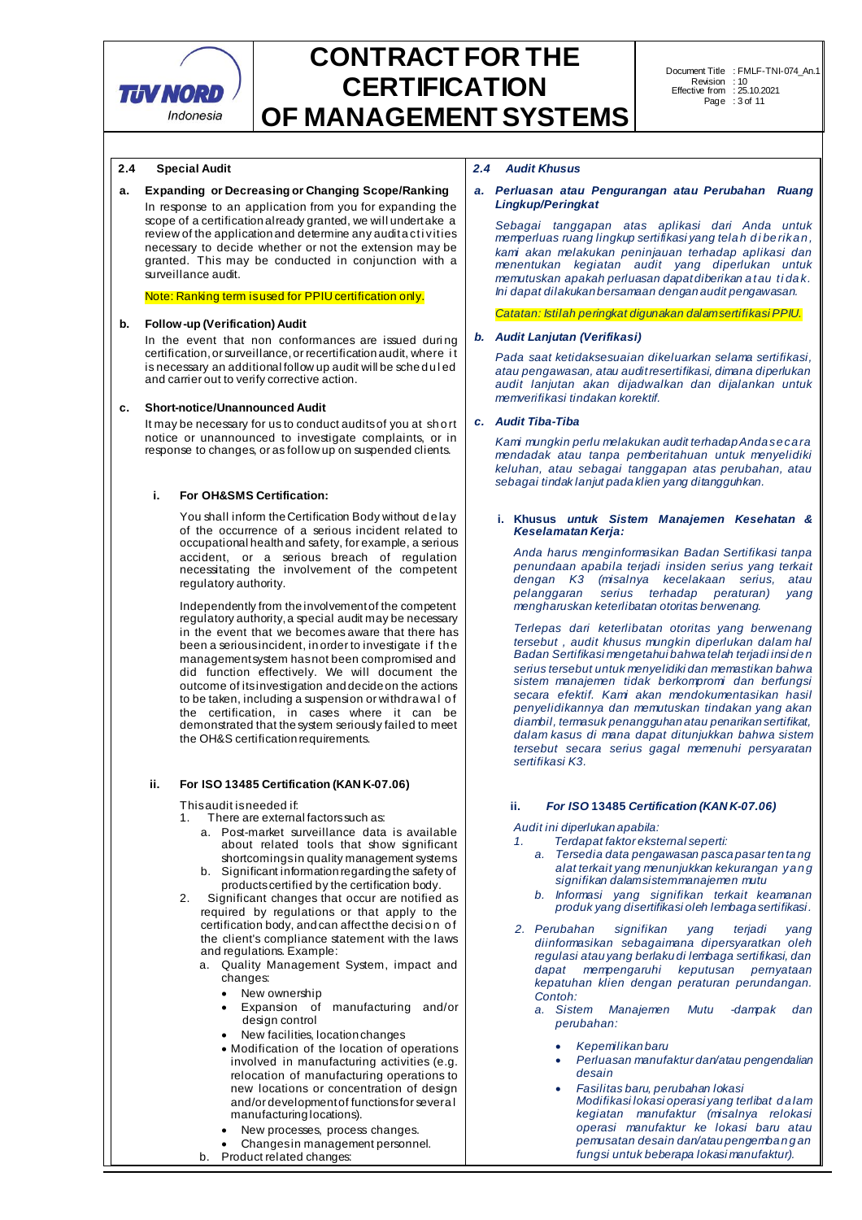

### **2.4 Special Audit**

### **a. Expanding or Decreasing or Changing Scope/Ranking**

In response to an application from you for expanding the scope of a certification already granted, we will undertake a review of the application and determine any audit activities necessary to decide whether or not the extension may be granted. This may be conducted in conjunction with a surveillance audit.

#### Note: Ranking term is used for PPIU certification only.

#### **b. Follow-up (Verification) Audit**

In the event that non conformances are issued during certification, or surveillance, or recertification audit, where i t is necessary an additional follow up audit will be sche d u l ed and carrier out to verify corrective action.

### **c. Short-notice/Unannounced Audit**

It may be necessary for us to conduct audits of you at sh o rt notice or unannounced to investigate complaints, or in response to changes, or as follow up on suspended clients.

### **i. For OH&SMS Certification:**

You shall inform the Certification Body without delay of the occurrence of a serious incident related to occupational health and safety, for example, a serious accident, or a serious breach of regulation necessitating the involvement of the competent regulatory authority.

Independently from the involvement of the competent regulatory authority, a special audit may be necessary in the event that we becomes aware that there has been a serious incident, in order to investigate if the management system has not been compromised and did function effectively. We will document the outcome of its investigation and decide on the actions to be taken, including a suspension or withdra wal of the certification, in cases where it can be demonstrated that the system seriously failed to meet the OH&S certification requirements.

### **ii. For ISO 13485 Certification (KAN K-07.06)**

This audit is needed if:

- 1. There are external factors such as:
	- a. Post-market surveillance data is available about related tools that show significant shortcomings in quality management systems b. Significant information regarding the safety of
	- products certified by the certification body.
- 2. Significant changes that occur are notified as required by regulations or that apply to the certification body, and can affect the decision of the client's compliance statement with the laws and regulations. Example:
	- a. Quality Management System, impact and changes:
		- New ownership
		- Expansion of manufacturing and/or design control
		- New facilities, location changes
		- Modification of the location of operations involved in manufacturing activities (e.g. relocation of manufacturing operations to new locations or concentration of design and/or development of functions for severa l manufacturing locations).
		- New processes, process changes.
		- Changes in management personnel.
	- b. Product related changes:

#### *2.4 Audit Khusus*

#### *a. Perluasan atau Pengurangan atau Perubahan Ruang Lingkup/Peringkat*

*Sebagai tanggapan atas aplikasi dari Anda untuk memperluas ruang lingkup sertifikasi yang tela h d i be rika n , kami akan melakukan peninjauan terhadap aplikasi dan menentukan kegiatan audit yang diperlukan untuk memutuskan apakah perluasan dapat diberikan a tau ti da k. Ini dapat dilakukan bersamaan dengan audit pengawasan.*

*Catatan: Istilah peringkat digunakan dalam sertifikasi PPIU.*

#### *b. Audit Lanjutan (Verifikasi)*

*Pada saat ketidaksesuaian dikeluarkan selama sertifikasi, atau pengawasan, atau audit resertifikasi, dimana diperlukan audit lanjutan akan dijadwalkan dan dijalankan untuk memverifikasi tindakan korektif.*

### *c. Audit Tiba-Tiba*

*Kami mungkin perlu melakukan audit terhadap Anda se ca ra mendadak atau tanpa pemberitahuan untuk menyelidiki keluhan, atau sebagai tanggapan atas perubahan, atau sebagai tindak lanjut pada klien yang ditangguhkan.*

#### **i. Khusus** *untuk Sistem Manajemen Kesehatan & Keselamatan Kerja:*

*Anda harus menginformasikan Badan Sertifikasi tanpa penundaan apabila terjadi insiden serius yang terkait dengan K3 (misalnya kecelakaan serius, atau pelanggaran serius terhadap peraturan) yang mengharuskan keterlibatan otoritas berwenang.*

*Terlepas dari keterlibatan otoritas yang berwenang tersebut , audit khusus mungkin diperlukan dalam hal Badan Sertifikasi mengetahui bahwa telah terjadi insi de n serius tersebut untuk menyelidiki dan memastikan bahwa sistem manajemen tidak berkompromi dan berfungsi secara efektif. Kami akan mendokumentasikan hasil penyelidikannya dan memutuskan tindakan yang akan diambil, termasuk penangguhan atau penarikan sertifikat, dalam kasus di mana dapat ditunjukkan bahwa sistem tersebut secara serius gagal memenuhi persyaratan sertifikasi K3.*

### **ii.** *For ISO* **13485** *Certification (KAN K-07.06)*

*Audit ini diperlukan apabila:* 

- *1. Terdapat faktor eksternal seperti:* 
	- *a. Tersedia data pengawasan pasca pasar ten ta ng alat terkait yang menunjukkan kekurangan ya n g signifikan dalam sistem manajemen mutu*
	- *b. Informasi yang signifikan terkait keamanan produk yang disertifikasi oleh lembaga sertifikasi.*
- *2. Perubahan signifikan yang terjadi yang diinformasikan sebagaimana dipersyaratkan oleh regulasi atau yang berlaku di lembaga sertifikasi, dan dapat mempengaruhi keputusan pernyataan kepatuhan klien dengan peraturan perundangan. Contoh:*
	- *a. Sistem Manajemen Mutu -dampak dan perubahan:*
		- *Kepemilikan baru*
		- *Perluasan manufaktur dan/atau pengendalian desain*
		- *Fasilitas baru, perubahan lokasi Modifikasi lokasi operasi yang terlibat d a lam kegiatan manufaktur (misalnya relokasi operasi manufaktur ke lokasi baru atau pemusatan desain dan/atau pengemba n g an fungsi untuk beberapa lokasi manufaktur).*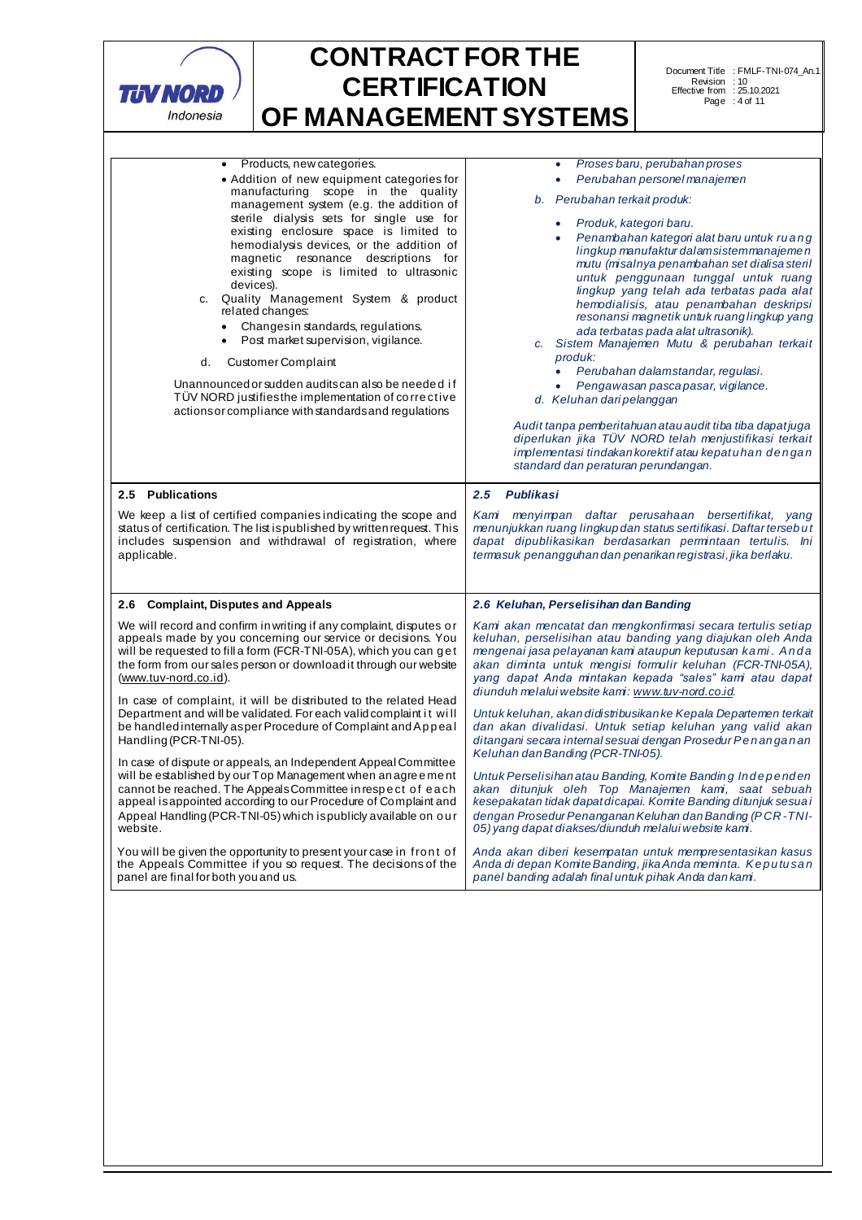

| Products, new categories.<br>• Addition of new equipment categories for<br>manufacturing scope in the quality<br>management system (e.g. the addition of<br>sterile dialysis sets for single use for<br>existing enclosure space is limited to<br>hemodialysis devices, or the addition of<br>magnetic resonance descriptions for<br>existing scope is limited to ultrasonic<br>devices).<br>c. Quality Management System & product<br>related changes:<br>• Changes in standards, regulations.<br>Post market supervision, vigilance.<br><b>Customer Complaint</b><br>d.<br>Unannounced or sudden audits can also be needed if<br>TÜV NORD justifies the implementation of corrective<br>actions or compliance with standards and regulations                                                                                                                                                                                                                                                                                                                               | Proses baru, perubahan proses<br>Perubahan personel manajemen<br>$\bullet$<br>b. Perubahan terkait produk:<br>Produk, kategori baru.<br>Penambahan kategori alat baru untuk ruang<br>lingkup manufaktur dalam sistem manajemen<br>mutu (misalnya penambahan set dialisa steril<br>untuk penggunaan tunggal untuk ruang<br>lingkup yang telah ada terbatas pada alat<br>hemodialisis, atau penambahan deskripsi<br>resonansi magnetik untuk ruang lingkup yang<br>ada terbatas pada alat ultrasonik).<br>c. Sistem Manajemen Mutu & perubahan terkait<br>produk:<br>Perubahan dalamstandar, regulasi.<br>۰<br>Pengawasan pasca pasar, vigilance.<br>d. Keluhan dari pelanggan<br>Audit tanpa pemberitahuan atau audit tiba tiba dapat juga<br>diperlukan jika TÜV NORD telah menjustifikasi terkait<br>implementasi tindakan korektif atau kepatuhan dengan<br>standard dan peraturan perundangan.                                                                                                                                                                                                      |  |
|------------------------------------------------------------------------------------------------------------------------------------------------------------------------------------------------------------------------------------------------------------------------------------------------------------------------------------------------------------------------------------------------------------------------------------------------------------------------------------------------------------------------------------------------------------------------------------------------------------------------------------------------------------------------------------------------------------------------------------------------------------------------------------------------------------------------------------------------------------------------------------------------------------------------------------------------------------------------------------------------------------------------------------------------------------------------------|--------------------------------------------------------------------------------------------------------------------------------------------------------------------------------------------------------------------------------------------------------------------------------------------------------------------------------------------------------------------------------------------------------------------------------------------------------------------------------------------------------------------------------------------------------------------------------------------------------------------------------------------------------------------------------------------------------------------------------------------------------------------------------------------------------------------------------------------------------------------------------------------------------------------------------------------------------------------------------------------------------------------------------------------------------------------------------------------------------|--|
| 2.5 Publications                                                                                                                                                                                                                                                                                                                                                                                                                                                                                                                                                                                                                                                                                                                                                                                                                                                                                                                                                                                                                                                             | 2.5 Publikasi                                                                                                                                                                                                                                                                                                                                                                                                                                                                                                                                                                                                                                                                                                                                                                                                                                                                                                                                                                                                                                                                                          |  |
| We keep a list of certified companies indicating the scope and<br>status of certification. The list is published by written request. This<br>includes suspension and withdrawal of registration, where<br>applicable.                                                                                                                                                                                                                                                                                                                                                                                                                                                                                                                                                                                                                                                                                                                                                                                                                                                        | Kami menyimpan daftar perusahaan bersertifikat, yang<br>menunjukkan ruang lingkup dan status sertifikasi. Daftar terseb ut<br>dapat dipublikasikan berdasarkan permintaan tertulis. Ini<br>termasuk penangguhan dan penarikan registrasi, jika berlaku.                                                                                                                                                                                                                                                                                                                                                                                                                                                                                                                                                                                                                                                                                                                                                                                                                                                |  |
| 2.6 Complaint, Disputes and Appeals                                                                                                                                                                                                                                                                                                                                                                                                                                                                                                                                                                                                                                                                                                                                                                                                                                                                                                                                                                                                                                          | 2.6 Keluhan, Perselisihan dan Banding                                                                                                                                                                                                                                                                                                                                                                                                                                                                                                                                                                                                                                                                                                                                                                                                                                                                                                                                                                                                                                                                  |  |
| We will record and confirm in writing if any complaint, disputes or<br>appeals made by you concerning our service or decisions. You<br>will be requested to fill a form (FCR-TNI-05A), which you can get<br>the form from our sales person or download it through our website<br>(www.tuv-nord.co.id).<br>In case of complaint, it will be distributed to the related Head<br>Department and will be validated. For each valid complaint it will<br>be handled internally asper Procedure of Complaint and Appeal<br>Handling (PCR-TNI-05).<br>In case of dispute or appeals, an Independent Appeal Committee<br>will be established by our Top Management when an agreement<br>cannot be reached. The Appeals Committee in respect of each<br>appeal is appointed according to our Procedure of Complaint and<br>Appeal Handling (PCR-TNI-05) which is publicly available on our<br>website.<br>You will be given the opportunity to present your case in front of<br>the Appeals Committee if you so request. The decisions of the<br>panel are final for both you and us. | Kam akan mencatat dan mengkonfirmasi secara tertulis setiap<br>keluhan, perselisihan atau banding yang diajukan oleh Anda<br>mengenai jasa pelayanan kami ataupun keputusan kami. Anda<br>akan diminta untuk mengisi formulir keluhan (FCR-TNI-05A),<br>yang dapat Anda mintakan kepada "sales" kami atau dapat<br>diunduh melalui website kami: www.tuv-nord.co.id.<br>Untuk keluhan, akan didistribusikan ke Kepala Departemen terkait<br>dan akan divalidasi. Untuk setiap keluhan yang valid akan<br>ditangani secara internal sesuai dengan Prosedur Penanganan<br>Keluhan dan Banding (PCR-TNI-05).<br>Untuk Perselisihan atau Banding, Komite Banding Independen<br>akan ditunjuk oleh Top Manajemen kami, saat sebuah<br>kesepakatan tidak dapat dicapai. Komite Banding ditunjuk sesuai<br>dengan Prosedur Penanganan Keluhan dan Banding (PCR-TNI-<br>05) vang dapat diakses/diunduh melalui website kami.<br>Anda akan diberi kesempatan untuk mempresentasikan kasus<br>Anda di depan Komte Banding, jika Anda meminta. Keputusan<br>panel banding adalah final untuk pihak Anda dan kami. |  |
|                                                                                                                                                                                                                                                                                                                                                                                                                                                                                                                                                                                                                                                                                                                                                                                                                                                                                                                                                                                                                                                                              |                                                                                                                                                                                                                                                                                                                                                                                                                                                                                                                                                                                                                                                                                                                                                                                                                                                                                                                                                                                                                                                                                                        |  |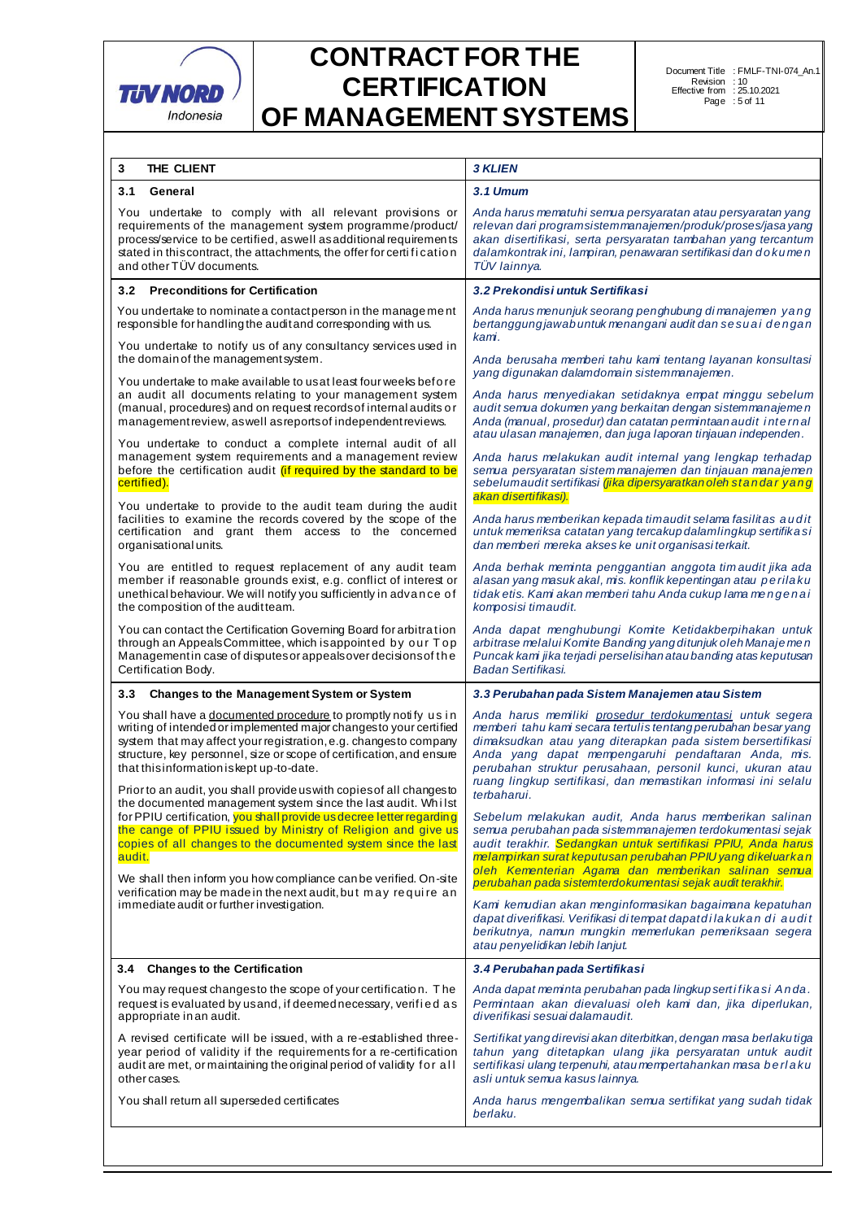

| 3<br>THE CLIENT                                                                                                                                                                                                                                                                                                               | <b>3 KLIEN</b>                                                                                                                                                                                                                                                                                                 |  |  |
|-------------------------------------------------------------------------------------------------------------------------------------------------------------------------------------------------------------------------------------------------------------------------------------------------------------------------------|----------------------------------------------------------------------------------------------------------------------------------------------------------------------------------------------------------------------------------------------------------------------------------------------------------------|--|--|
| 3.1<br>General                                                                                                                                                                                                                                                                                                                | 3.1 Umum                                                                                                                                                                                                                                                                                                       |  |  |
| You undertake to comply with all relevant provisions or<br>requirements of the management system programme/product/<br>process/service to be certified, as well as additional requirements<br>stated in this contract, the attachments, the offer for certification<br>and other TÜV documents.                               | Anda harus mematuhi semua persyaratan atau persyaratan yang<br>relevan dari programsistemmanajemen/produk/proses/jasa yang<br>akan disertifikasi, serta persyaratan tambahan yang tercantum<br>dalamkontrak ini, lampiran, penawaran sertifikasi dan dokumen<br>TÜV lainnya.                                   |  |  |
| 3.2<br><b>Preconditions for Certification</b>                                                                                                                                                                                                                                                                                 | 3.2 Prekondisi untuk Sertifikasi                                                                                                                                                                                                                                                                               |  |  |
| You undertake to nominate a contactperson in the management<br>responsible for handling the auditand corresponding with us.<br>You undertake to notify us of any consultancy services used in                                                                                                                                 | Anda harus menunjuk seorang penghubung di manajemen yang<br>bertanggung jawab untuk menangani audit dan sesuai dengan<br>kami.                                                                                                                                                                                 |  |  |
| the domain of the management system.                                                                                                                                                                                                                                                                                          | Anda berusaha memberi tahu kami tentang layanan konsultasi                                                                                                                                                                                                                                                     |  |  |
| You undertake to make available to usat least four weeks before<br>an audit all documents relating to your management system<br>(manual, procedures) and on request records of internal audits or<br>management review, as well as reports of independent reviews.                                                            | yang digunakan dalamdomain sistemmanajemen.<br>Anda harus menyediakan setidaknya empat minggu sebelum<br>audit semua dokumen yang berkaitan dengan sistem manajemen<br>Anda (manual, prosedur) dan catatan permintaan audit internal<br>atau ulasan manajemen, dan juga laporan tinjauan independen.           |  |  |
| You undertake to conduct a complete internal audit of all<br>management system requirements and a management review<br>before the certification audit (if required by the standard to be<br>certified).                                                                                                                       | Anda harus melakukan audit internal yang lengkap terhadap<br>semua persyaratan sistem manajemen dan tinjauan manajemen<br>sebelumaudit sertifikasi <i>(jika dipersyaratkan oleh standar yang</i><br>akan disertifikasi).                                                                                       |  |  |
| You undertake to provide to the audit team during the audit<br>facilities to examine the records covered by the scope of the<br>certification and grant them access to the concerned<br>organisational units.                                                                                                                 | Anda harus memberikan kepada timaudit selama fasilitas audit<br>untuk memeriksa catatan yang tercakup dalamlingkup sertifikasi<br>dan memberi mereka akses ke unit organisasi terkait.                                                                                                                         |  |  |
| You are entitled to request replacement of any audit team<br>member if reasonable grounds exist, e.g. conflict of interest or<br>unethical behaviour. We will notify you sufficiently in advance of<br>the composition of the auditteam.                                                                                      | Anda berhak meminta penggantian anggota timaudit jika ada<br>alasan yang masuk akal, mis. konflik kepentingan atau perilaku<br>tidak etis. Kami akan memberi tahu Anda cukup lama mengenai<br>komposisi timaudit.                                                                                              |  |  |
| You can contact the Certification Governing Board for arbitration<br>through an Appeals Committee, which is appointed by our Top<br>Managementin case of disputes or appeals over decisions of the<br>Certification Body.                                                                                                     | Anda dapat menghubungi Komite Ketidakberpihakan untuk<br>arbitrase melalui Komite Banding yang ditunjuk oleh Manajemen<br>Puncak kami jika terjadi perselisihan atau banding atas keputusan<br>Badan Sertifikasi.                                                                                              |  |  |
| <b>Changes to the Management System or System</b><br>3.3                                                                                                                                                                                                                                                                      | 3.3 Perubahan pada Sistem Manajemen atau Sistem                                                                                                                                                                                                                                                                |  |  |
| You shall have a documented procedure to promptly notify us in<br>writing of intended or implemented major changesto your certified<br>system that may affect your registration, e.g. changes to company<br>structure, key personnel, size or scope of certification, and ensure<br>that this information is kept up-to-date. | Anda harus memiliki prosedur terdokumentasi untuk segera<br>memberi tahu kami secara tertulis tentang perubahan besar yang<br>dimaksudkan atau yang diterapkan pada sistem bersertifikasi<br>Anda yang dapat mempengaruhi pendaftaran Anda, mis.<br>perubahan struktur perusahaan, personil kunci, ukuran atau |  |  |
| Prior to an audit, you shall provide us with copies of all changes to<br>the documented management system since the last audit. Whilst                                                                                                                                                                                        | ruang lingkup sertifikasi, dan memastikan informasi ini selalu<br>terbaharui.                                                                                                                                                                                                                                  |  |  |
| for PPIU certification, you shall provide us decree letter regarding<br>the cange of PPIU issued by Ministry of Religion and give us<br>copies of all changes to the documented system since the last<br>audit.                                                                                                               | Sebelum melakukan audit, Anda harus memberikan salinan<br>semua perubahan pada sistemmanajemen terdokumentasi sejak<br>audit terakhir. Sedangkan untuk sertifikasi PPIU, Anda harus<br>melampirkan surat keputusan perubahan PPIU yang dikeluarkan<br>oleh Kementerian Agama dan memberikan salinan semua      |  |  |
| We shall then inform you how compliance can be verified. On-site<br>verification may be made in the next audit, but may require an                                                                                                                                                                                            | perubahan pada sistemterdokumentasi sejak audit terakhir.                                                                                                                                                                                                                                                      |  |  |
| immediate audit or further investigation.                                                                                                                                                                                                                                                                                     | Kami kemudian akan menginformasikan bagaimana kepatuhan<br>dapat diverifikasi. Verifikasi di tempat dapat di lakukan di audit<br>berikutnya, namun mungkin memerlukan pemeriksaan segera<br>atau penyelidikan lebih lanjut.                                                                                    |  |  |
| 3.4 Changes to the Certification                                                                                                                                                                                                                                                                                              | 3.4 Perubahan pada Sertifikasi                                                                                                                                                                                                                                                                                 |  |  |
| You may request changes to the scope of your certification. The<br>request is evaluated by us and, if deemed necessary, verified as<br>appropriate in an audit.                                                                                                                                                               | Anda dapat meminta perubahan pada lingkup sertifikasi Anda.<br>Permintaan akan dievaluasi oleh kami dan, jika diperlukan,<br>diverifikasi sesuai dalamaudit.                                                                                                                                                   |  |  |
| A revised certificate will be issued, with a re-established three-<br>year period of validity if the requirements for a re-certification<br>audit are met, or maintaining the original period of validity for all<br>other cases.                                                                                             | Sertifikat yang direvisi akan diterbitkan, dengan masa berlaku tiga<br>tahun yang ditetapkan ulang jika persyaratan untuk audit<br>sertifikasi ulang terpenuhi, atau mempertahankan masa berlaku<br>asli untuk semua kasus lainnya.                                                                            |  |  |
| You shall return all superseded certificates                                                                                                                                                                                                                                                                                  | Anda harus mengembalikan semua sertifikat yang sudah tidak<br>berlaku.                                                                                                                                                                                                                                         |  |  |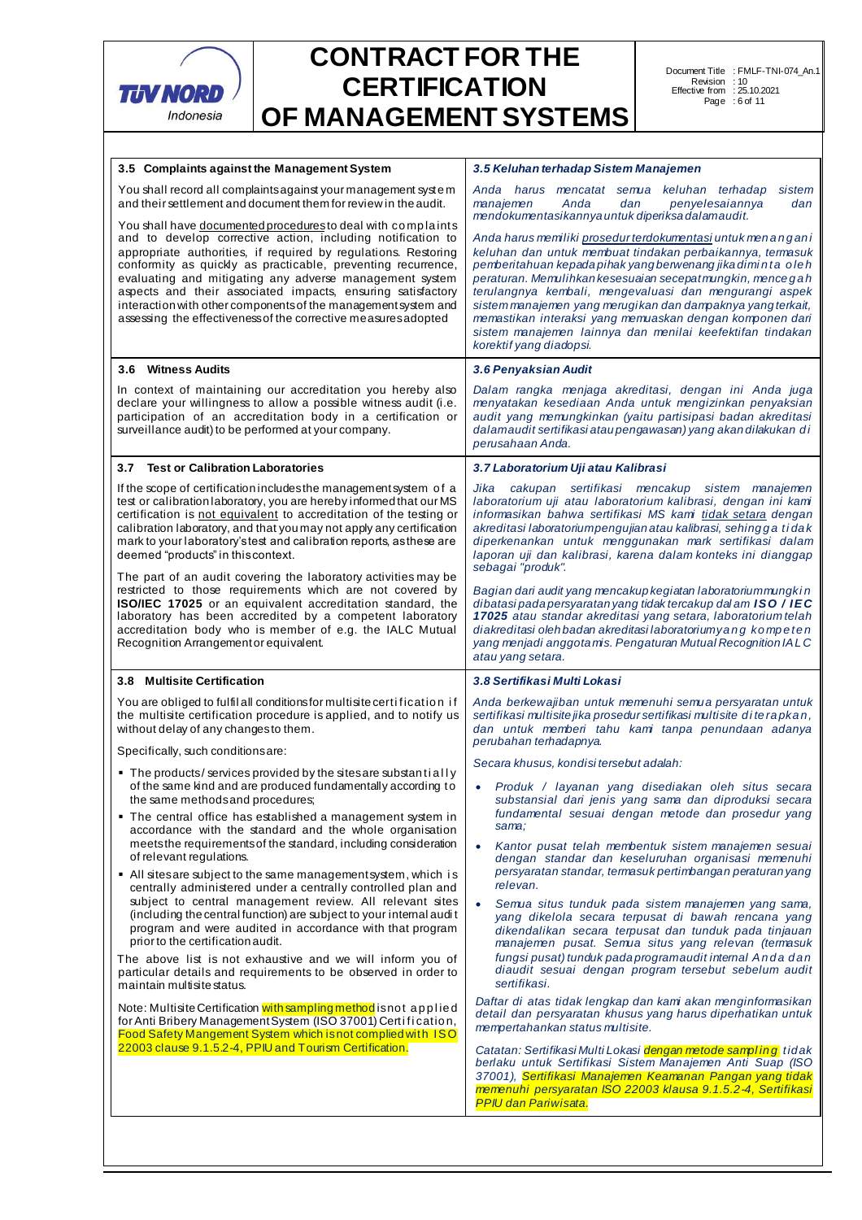

| 3.5 Complaints against the Management System                                                                                                                                                                                                                                                                                                                                                                                                                                                                                | 3.5 Keluhan terhadap Sistem Manajemen                                                                                                                                                                                                                                                                                                                                                                                                                                                                                              |  |  |
|-----------------------------------------------------------------------------------------------------------------------------------------------------------------------------------------------------------------------------------------------------------------------------------------------------------------------------------------------------------------------------------------------------------------------------------------------------------------------------------------------------------------------------|------------------------------------------------------------------------------------------------------------------------------------------------------------------------------------------------------------------------------------------------------------------------------------------------------------------------------------------------------------------------------------------------------------------------------------------------------------------------------------------------------------------------------------|--|--|
| You shall record all complaints against your management system<br>and their settlement and document them for review in the audit.                                                                                                                                                                                                                                                                                                                                                                                           | Anda harus mencatat semua keluhan terhadap<br>sistem<br>Anda<br>manajemen<br>dan<br>penyelesaiannya<br>dan<br>mendokumentasikannya untuk diperiksa dalamaudit.                                                                                                                                                                                                                                                                                                                                                                     |  |  |
| You shall have documented procedures to deal with complaints<br>and to develop corrective action, including notification to<br>appropriate authorities, if required by regulations. Restoring<br>conformity as quickly as practicable, preventing recurrence,<br>evaluating and mitigating any adverse management system<br>aspects and their associated impacts, ensuring satisfactory<br>interaction with other components of the management system and<br>assessing the effectiveness of the corrective measures adopted | Anda harus memiliki prosedur terdokumentasi untuk menangani<br>keluhan dan untuk membuat tindakan perbaikannya, termasuk<br>pemberitahuan kepada pihak yang berwenang jika diminta oleh<br>peraturan. Memulihkan kesesuaian secepat mungkin, mencegah<br>terulangnya kembali, mengevaluasi dan mengurangi aspek<br>sistem manajemen yang merugikan dan dampaknya yang terkait,<br>memastikan interaksi yang memuaskan dengan komponen dari<br>sistem manajemen lainnya dan menilai keefektifan tindakan<br>korektif yang diadopsi. |  |  |
| 3.6 Witness Audits                                                                                                                                                                                                                                                                                                                                                                                                                                                                                                          | 3.6 Penyaksian Audit                                                                                                                                                                                                                                                                                                                                                                                                                                                                                                               |  |  |
| In context of maintaining our accreditation you hereby also<br>declare your willingness to allow a possible witness audit (i.e.<br>participation of an accreditation body in a certification or<br>surveillance audit) to be performed at your company.                                                                                                                                                                                                                                                                     | Dalam rangka menjaga akreditasi, dengan ini Anda juga<br>menyatakan kesediaan Anda untuk mengizinkan penyaksian<br>audit yang memungkinkan (yaitu partisipasi badan akreditasi<br>dalamaudit sertifikasi atau pengawasan) yang akan dilakukan di<br>perusahaan Anda.                                                                                                                                                                                                                                                               |  |  |
| 3.7 Test or Calibration Laboratories                                                                                                                                                                                                                                                                                                                                                                                                                                                                                        | 3.7 Laboratorium Uji atau Kalibrasi                                                                                                                                                                                                                                                                                                                                                                                                                                                                                                |  |  |
| If the scope of certification includes the management system of a<br>test or calibration laboratory, you are hereby informed that our MS<br>certification is not equivalent to accreditation of the testing or<br>calibration laboratory, and that you may not apply any certification<br>mark to your laboratory's test and calibration reports, as these are<br>deemed "products" in this context.<br>The part of an audit covering the laboratory activities may be                                                      | Jika cakupan sertifikasi mencakup sistem manajemen<br>laboratorium uji atau laboratorium kalibrasi, dengan ini kami<br>informasikan bahwa sertifikasi MS kami tidak setara dengan<br>akreditasi laboratoriumpengujian atau kalibrasi, sehingga tidak<br>diperkenankan untuk menggunakan mark sertifikasi dalam<br>laporan uji dan kalibrasi, karena dalam konteks ini dianggap<br>sebagai "produk".                                                                                                                                |  |  |
| restricted to those requirements which are not covered by<br><b>ISO/IEC 17025</b> or an equivalent accreditation standard, the<br>laboratory has been accredited by a competent laboratory<br>accreditation body who is member of e.g. the IALC Mutual<br>Recognition Arrangement or equivalent.                                                                                                                                                                                                                            | Bagian dari audit yang mencakup kegiatan laboratorium mungki n<br>dibatasi pada persyaratan yang tidak tercakup dalam ISO / IEC<br>17025 atau standar akreditasi yang setara, laboratorium telah<br>diakreditasi oleh badan akreditasi laboratoriumyang kompeten<br>yang menjadi anggota mis. Pengaturan Mutual Recognition IALC<br>atau yang setara.                                                                                                                                                                              |  |  |
| 3.8 Multisite Certification                                                                                                                                                                                                                                                                                                                                                                                                                                                                                                 | 3.8 Sertifikasi Multi Lokasi                                                                                                                                                                                                                                                                                                                                                                                                                                                                                                       |  |  |
| You are obliged to fulfil all conditions for multisite certification if<br>the multisite certification procedure is applied, and to notify us<br>without delay of any changes to them.                                                                                                                                                                                                                                                                                                                                      | Anda berkewajiban untuk memenuhi semua persyaratan untuk<br>sertifikasi multisite jika prosedur sertifikasi multisite di terapkan,<br>dan untuk memberi tahu kami tanpa penundaan adanya<br>perubahan terhadapnya.                                                                                                                                                                                                                                                                                                                 |  |  |
|                                                                                                                                                                                                                                                                                                                                                                                                                                                                                                                             |                                                                                                                                                                                                                                                                                                                                                                                                                                                                                                                                    |  |  |
| Specifically, such conditions are:                                                                                                                                                                                                                                                                                                                                                                                                                                                                                          | Secara khusus, kondisitersebut adalah:                                                                                                                                                                                                                                                                                                                                                                                                                                                                                             |  |  |
| • The products/services provided by the sites are substantially<br>of the same kind and are produced fundamentally according to<br>the same methods and procedures;<br>■ The central office has established a management system in<br>accordance with the standard and the whole organisation<br>meets the requirements of the standard, including consideration                                                                                                                                                            | Produk / layanan yang disediakan oleh situs secara<br>$\bullet$<br>substansial dari jenis yang sama dan diproduksi secara<br>fundamental sesuai dengan metode dan prosedur yang<br>sama:<br>Kantor pusat telah membentuk sistem manajemen sesuai<br>$\bullet$                                                                                                                                                                                                                                                                      |  |  |
| of relevant regulations.<br>• All sites are subject to the same management system, which is<br>centrally administered under a centrally controlled plan and                                                                                                                                                                                                                                                                                                                                                                 | dengan standar dan keseluruhan organisasi memenuhi<br>persyaratan standar, termasuk pertimbangan peraturan yang<br>relevan.                                                                                                                                                                                                                                                                                                                                                                                                        |  |  |
| subject to central management review. All relevant sites<br>(including the central function) are subject to your internal audit<br>program and were audited in accordance with that program<br>prior to the certification audit.                                                                                                                                                                                                                                                                                            | Semua situs tunduk pada sistem manajemen yang sama,<br>$\bullet$<br>yang dikelola secara terpusat di bawah rencana yang<br>dikendalikan secara terpusat dan tunduk pada tinjauan<br>manajemen pusat. Semua situs yang relevan (termasuk                                                                                                                                                                                                                                                                                            |  |  |
| The above list is not exhaustive and we will inform you of<br>particular details and requirements to be observed in order to<br>maintain multisite status.                                                                                                                                                                                                                                                                                                                                                                  | fungsi pusat) tunduk pada programaudit internal Anda dan<br>diaudit sesuai dengan program tersebut sebelum audit<br>sertifikasi.                                                                                                                                                                                                                                                                                                                                                                                                   |  |  |
| Note: Multisite Certification with sampling method is not applied<br>for Anti Bribery Management System (ISO 37001) Certification,<br>Food Safety Mangement System which is not complied with ISO                                                                                                                                                                                                                                                                                                                           | Daftar di atas tidak lengkap dan kami akan menginformasikan<br>detail dan persyaratan khusus yang harus diperhatikan untuk<br>mempertahankan status multisite.                                                                                                                                                                                                                                                                                                                                                                     |  |  |
| 22003 clause 9.1.5.2-4, PPIU and Tourism Certification.                                                                                                                                                                                                                                                                                                                                                                                                                                                                     | Catatan: Sertifikasi Multi Lokasi dengan metode sampling tidak<br>berlaku untuk Sertifikasi Sistem Manajemen Anti Suap (ISO<br>37001), Sertifikasi Manajemen Keamanan Pangan yang tidak<br>memenuhi persyaratan ISO 22003 klausa 9.1.5.2-4, Sertifikasi<br><b>PPIU dan Pariwisata.</b>                                                                                                                                                                                                                                             |  |  |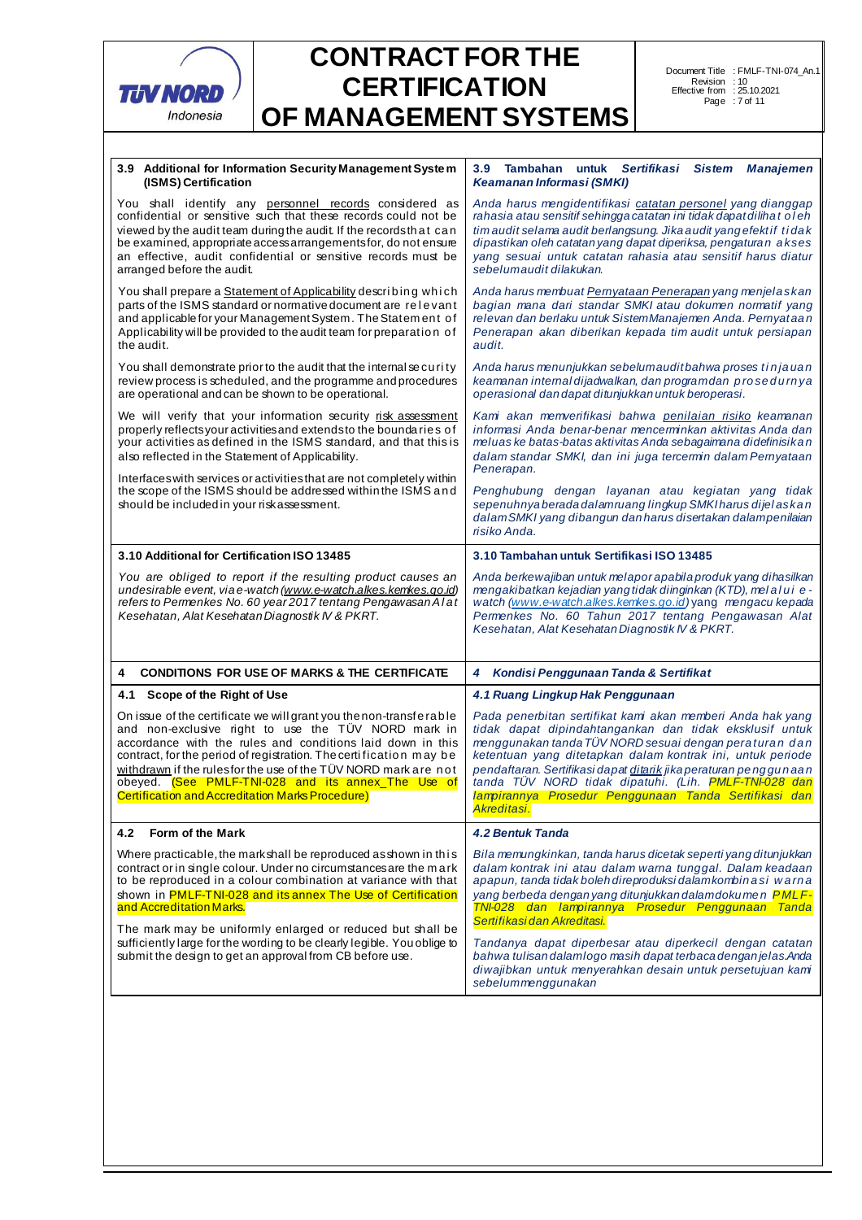

| You shall identify any personnel records considered as<br>Anda harus mengidentifikasi catatan personel yang dianggap<br>confidential or sensitive such that these records could not be<br>rahasia atau sensitif sehingga catatan ini tidak dapat dilihat oleh<br>viewed by the audit team during the audit. If the records that can<br>tim audit selama audit berlangsung. Jika audit yang efektif tida k<br>be examined, appropriate access arrangements for, do not ensure<br>dipastikan oleh catatan yang dapat diperiksa, pengaturan akses<br>an effective, audit confidential or sensitive records must be<br>yang sesuai untuk catatan rahasia atau sensitif harus diatur<br>sebelumaudit dilakukan.<br>arranged before the audit.<br>You shall prepare a <u>Statement of Applicability</u> describing which<br>Anda harus membuat Pernyataan Penerapan yang menjelaskan<br>parts of the ISMS standard or normative document are relevant<br>bagian mana dari standar SMKI atau dokumen normatif yang<br>and applicable for your Management System. The Statement of<br>relevan dan berlaku untuk Sistem Manajemen Anda. Pernyataan<br>Applicability will be provided to the audit team for preparation of<br>Penerapan akan diberikan kepada tim audit untuk persiapan<br>the audit.<br>audit.<br>You shall demonstrate prior to the audit that the internal security<br>Anda harus menunjukkan sebelumauditbahwa proses tinjauan<br>review process is scheduled, and the programme and procedures<br>keamanan internal dijadwalkan, dan programdan prosedurnya<br>are operational and can be shown to be operational.<br>operasional dan dapat ditunjukkan untuk beroperasi.<br>We will verify that your information security risk assessment<br>Kami akan memverifikasi bahwa penilaian risiko keamanan<br>properly reflects your activities and extends to the boundaries of<br>informasi Anda benar-benar mencerminkan aktivitas Anda dan<br>your activities as defined in the ISMS standard, and that this is<br>meluas ke batas-batas aktivitas Anda sebagaimana didefinisikan<br>also reflected in the Statement of Applicability.<br>dalam standar SMKI, dan ini juga tercermin dalam Pernyataan<br>Penerapan.<br>Interfaces with services or activities that are not completely within<br>the scope of the ISMS should be addressed within the ISMS and<br>Penghubung dengan layanan atau kegiatan yang tidak<br>sepenuhnya berada dalamruang lingkup SMKI harus dijel askan<br>should be included in your risk assessment.<br>dalamSMKI yang dibangun dan harus disertakan dalampenilaian<br>risiko Anda.<br>3.10 Additional for Certification ISO 13485<br>3.10 Tambahan untuk Sertifikasi ISO 13485<br>You are obliged to report if the resulting product causes an<br>Anda berkewajiban untuk melapor apabila produk yang dihasilkan<br>undesirable event, via e-watch (www.e-watch.alkes.kemkes.go.id)<br>mengakibatkan kejadian yang tidak diinginkan (KTD), melalui e-<br>refers to Permenkes No. 60 year 2017 tentang Pengawasan Alat<br>watch (www.e-watch.alkes.kemkes.go.id) yang mengacu kepada<br>Permenkes No. 60 Tahun 2017 tentang Pengawasan Alat<br>Kesehatan, Alat Kesehatan Diagnostik IV & PKRT.<br>Kesehatan, Alat Kesehatan Diagnostik IV & PKRT.<br><b>CONDITIONS FOR USE OF MARKS &amp; THE CERTIFICATE</b><br>Kondisi Penggunaan Tanda & Sertifikat<br>4<br>4<br>4.1 Scope of the Right of Use<br>4.1 Ruang Lingkup Hak Penggunaan<br>On issue of the certificate we will grant you the non-transferable<br>Pada penerbitan sertifikat kami akan memberi Anda hak yang<br>and non-exclusive right to use the TÜV NORD mark in<br>tidak dapat dipindahtangankan dan tidak eksklusif untuk<br>accordance with the rules and conditions laid down in this<br>menggunakan tanda TUV NORD sesuai dengan peraturan dan<br>contract, for the period of registration. The certification may be<br>ketentuan yang ditetapkan dalam kontrak ini, untuk periode<br>withdrawn if the rulesfor the use of the TÜV NORD mark are not<br>pendaftaran. Sertifikasi dapat ditarik jika peraturan penggunaan<br>obeyed. (See PMLF-TNI-028 and its annex_The Use of<br>tanda TÜV NORD tidak dipatuhi. (Lih. PMLF-TNI-028 dan<br><b>Certification and Accreditation Marks Procedure)</b><br>lampirannya Prosedur Penggunaan Tanda Sertifikasi dan<br>Akreditasi.<br>Form of the Mark<br><b>4.2 Bentuk Tanda</b><br>4.2<br>Where practicable, the mark shall be reproduced as shown in this<br>Bila memungkinkan, tanda harus dicetak seperti yang ditunjukkan<br>contract or in single colour. Under no circumstances are the mark<br>dalam kontrak ini atau dalam warna tunggal. Dalam keadaan<br>apapun, tanda tidak boleh direproduksi dalamkombinasi warna<br>to be reproduced in a colour combination at variance with that<br>shown in <b>PMLF-TNI-028 and its annex The Use of Certification</b><br>yang berbeda dengan yang ditunjukkan dalamdokumen PMLF-<br>TNI-028 dan lampirannya Prosedur Penggunaan Tanda<br>and Accreditation Marks.<br>Sertifikasi dan Akreditasi.<br>The mark may be uniformly enlarged or reduced but shall be<br>sufficiently large for the wording to be clearly legible. You oblige to<br>Tandanya dapat diperbesar atau diperkecil dengan catatan<br>submit the design to get an approval from CB before use.<br>bahwa tulisan dalamlogo masih dapat terbaca dengan jelas. Anda<br>diwajibkan untuk menyerahkan desain untuk persetujuan kami<br>sebelummenggunakan | 3.9 Additional for Information Security Management System<br>(ISMS) Certification | 3.9 Tambahan untuk Sertifikasi Sistem Manajemen<br><b>Keamanan Informasi (SMKI)</b> |  |  |
|---------------------------------------------------------------------------------------------------------------------------------------------------------------------------------------------------------------------------------------------------------------------------------------------------------------------------------------------------------------------------------------------------------------------------------------------------------------------------------------------------------------------------------------------------------------------------------------------------------------------------------------------------------------------------------------------------------------------------------------------------------------------------------------------------------------------------------------------------------------------------------------------------------------------------------------------------------------------------------------------------------------------------------------------------------------------------------------------------------------------------------------------------------------------------------------------------------------------------------------------------------------------------------------------------------------------------------------------------------------------------------------------------------------------------------------------------------------------------------------------------------------------------------------------------------------------------------------------------------------------------------------------------------------------------------------------------------------------------------------------------------------------------------------------------------------------------------------------------------------------------------------------------------------------------------------------------------------------------------------------------------------------------------------------------------------------------------------------------------------------------------------------------------------------------------------------------------------------------------------------------------------------------------------------------------------------------------------------------------------------------------------------------------------------------------------------------------------------------------------------------------------------------------------------------------------------------------------------------------------------------------------------------------------------------------------------------------------------------------------------------------------------------------------------------------------------------------------------------------------------------------------------------------------------------------------------------------------------------------------------------------------------------------------------------------------------------------------------------------------------------------------------------------------------------------------------------------------------------------------------------------------------------------------------------------------------------------------------------------------------------------------------------------------------------------------------------------------------------------------------------------------------------------------------------------------------------------------------------------------------------------------------------------------------------------------------------------------------------------------------------------------------------------------------------------------------------------------------------------------------------------------------------------------------------------------------------------------------------------------------------------------------------------------------------------------------------------------------------------------------------------------------------------------------------------------------------------------------------------------------------------------------------------------------------------------------------------------------------------------------------------------------------------------------------------------------------------------------------------------------------------------------------------------------------------------------------------------------------------------------------------------------------------------------------------------------------------------------------------------------------------------------------------------------------------------------------------------------------------------------------------------------------------------------------------------------------------------------------------------------------------------------------------------------------------------------------------------------------------------------------------------------------------------------------------------------------------------------------------------------------------------------------------------------------------------------------------------------------------------------------------------------------------------------------------------------------------------------------------------------------------------------------------|-----------------------------------------------------------------------------------|-------------------------------------------------------------------------------------|--|--|
|                                                                                                                                                                                                                                                                                                                                                                                                                                                                                                                                                                                                                                                                                                                                                                                                                                                                                                                                                                                                                                                                                                                                                                                                                                                                                                                                                                                                                                                                                                                                                                                                                                                                                                                                                                                                                                                                                                                                                                                                                                                                                                                                                                                                                                                                                                                                                                                                                                                                                                                                                                                                                                                                                                                                                                                                                                                                                                                                                                                                                                                                                                                                                                                                                                                                                                                                                                                                                                                                                                                                                                                                                                                                                                                                                                                                                                                                                                                                                                                                                                                                                                                                                                                                                                                                                                                                                                                                                                                                                                                                                                                                                                                                                                                                                                                                                                                                                                                                                                                                                                                                                                                                                                                                                                                                                                                                                                                                                                                                                                                                 |                                                                                   |                                                                                     |  |  |
|                                                                                                                                                                                                                                                                                                                                                                                                                                                                                                                                                                                                                                                                                                                                                                                                                                                                                                                                                                                                                                                                                                                                                                                                                                                                                                                                                                                                                                                                                                                                                                                                                                                                                                                                                                                                                                                                                                                                                                                                                                                                                                                                                                                                                                                                                                                                                                                                                                                                                                                                                                                                                                                                                                                                                                                                                                                                                                                                                                                                                                                                                                                                                                                                                                                                                                                                                                                                                                                                                                                                                                                                                                                                                                                                                                                                                                                                                                                                                                                                                                                                                                                                                                                                                                                                                                                                                                                                                                                                                                                                                                                                                                                                                                                                                                                                                                                                                                                                                                                                                                                                                                                                                                                                                                                                                                                                                                                                                                                                                                                                 |                                                                                   |                                                                                     |  |  |
|                                                                                                                                                                                                                                                                                                                                                                                                                                                                                                                                                                                                                                                                                                                                                                                                                                                                                                                                                                                                                                                                                                                                                                                                                                                                                                                                                                                                                                                                                                                                                                                                                                                                                                                                                                                                                                                                                                                                                                                                                                                                                                                                                                                                                                                                                                                                                                                                                                                                                                                                                                                                                                                                                                                                                                                                                                                                                                                                                                                                                                                                                                                                                                                                                                                                                                                                                                                                                                                                                                                                                                                                                                                                                                                                                                                                                                                                                                                                                                                                                                                                                                                                                                                                                                                                                                                                                                                                                                                                                                                                                                                                                                                                                                                                                                                                                                                                                                                                                                                                                                                                                                                                                                                                                                                                                                                                                                                                                                                                                                                                 |                                                                                   |                                                                                     |  |  |
|                                                                                                                                                                                                                                                                                                                                                                                                                                                                                                                                                                                                                                                                                                                                                                                                                                                                                                                                                                                                                                                                                                                                                                                                                                                                                                                                                                                                                                                                                                                                                                                                                                                                                                                                                                                                                                                                                                                                                                                                                                                                                                                                                                                                                                                                                                                                                                                                                                                                                                                                                                                                                                                                                                                                                                                                                                                                                                                                                                                                                                                                                                                                                                                                                                                                                                                                                                                                                                                                                                                                                                                                                                                                                                                                                                                                                                                                                                                                                                                                                                                                                                                                                                                                                                                                                                                                                                                                                                                                                                                                                                                                                                                                                                                                                                                                                                                                                                                                                                                                                                                                                                                                                                                                                                                                                                                                                                                                                                                                                                                                 |                                                                                   |                                                                                     |  |  |
|                                                                                                                                                                                                                                                                                                                                                                                                                                                                                                                                                                                                                                                                                                                                                                                                                                                                                                                                                                                                                                                                                                                                                                                                                                                                                                                                                                                                                                                                                                                                                                                                                                                                                                                                                                                                                                                                                                                                                                                                                                                                                                                                                                                                                                                                                                                                                                                                                                                                                                                                                                                                                                                                                                                                                                                                                                                                                                                                                                                                                                                                                                                                                                                                                                                                                                                                                                                                                                                                                                                                                                                                                                                                                                                                                                                                                                                                                                                                                                                                                                                                                                                                                                                                                                                                                                                                                                                                                                                                                                                                                                                                                                                                                                                                                                                                                                                                                                                                                                                                                                                                                                                                                                                                                                                                                                                                                                                                                                                                                                                                 |                                                                                   |                                                                                     |  |  |
|                                                                                                                                                                                                                                                                                                                                                                                                                                                                                                                                                                                                                                                                                                                                                                                                                                                                                                                                                                                                                                                                                                                                                                                                                                                                                                                                                                                                                                                                                                                                                                                                                                                                                                                                                                                                                                                                                                                                                                                                                                                                                                                                                                                                                                                                                                                                                                                                                                                                                                                                                                                                                                                                                                                                                                                                                                                                                                                                                                                                                                                                                                                                                                                                                                                                                                                                                                                                                                                                                                                                                                                                                                                                                                                                                                                                                                                                                                                                                                                                                                                                                                                                                                                                                                                                                                                                                                                                                                                                                                                                                                                                                                                                                                                                                                                                                                                                                                                                                                                                                                                                                                                                                                                                                                                                                                                                                                                                                                                                                                                                 |                                                                                   |                                                                                     |  |  |
|                                                                                                                                                                                                                                                                                                                                                                                                                                                                                                                                                                                                                                                                                                                                                                                                                                                                                                                                                                                                                                                                                                                                                                                                                                                                                                                                                                                                                                                                                                                                                                                                                                                                                                                                                                                                                                                                                                                                                                                                                                                                                                                                                                                                                                                                                                                                                                                                                                                                                                                                                                                                                                                                                                                                                                                                                                                                                                                                                                                                                                                                                                                                                                                                                                                                                                                                                                                                                                                                                                                                                                                                                                                                                                                                                                                                                                                                                                                                                                                                                                                                                                                                                                                                                                                                                                                                                                                                                                                                                                                                                                                                                                                                                                                                                                                                                                                                                                                                                                                                                                                                                                                                                                                                                                                                                                                                                                                                                                                                                                                                 |                                                                                   |                                                                                     |  |  |
|                                                                                                                                                                                                                                                                                                                                                                                                                                                                                                                                                                                                                                                                                                                                                                                                                                                                                                                                                                                                                                                                                                                                                                                                                                                                                                                                                                                                                                                                                                                                                                                                                                                                                                                                                                                                                                                                                                                                                                                                                                                                                                                                                                                                                                                                                                                                                                                                                                                                                                                                                                                                                                                                                                                                                                                                                                                                                                                                                                                                                                                                                                                                                                                                                                                                                                                                                                                                                                                                                                                                                                                                                                                                                                                                                                                                                                                                                                                                                                                                                                                                                                                                                                                                                                                                                                                                                                                                                                                                                                                                                                                                                                                                                                                                                                                                                                                                                                                                                                                                                                                                                                                                                                                                                                                                                                                                                                                                                                                                                                                                 |                                                                                   |                                                                                     |  |  |
|                                                                                                                                                                                                                                                                                                                                                                                                                                                                                                                                                                                                                                                                                                                                                                                                                                                                                                                                                                                                                                                                                                                                                                                                                                                                                                                                                                                                                                                                                                                                                                                                                                                                                                                                                                                                                                                                                                                                                                                                                                                                                                                                                                                                                                                                                                                                                                                                                                                                                                                                                                                                                                                                                                                                                                                                                                                                                                                                                                                                                                                                                                                                                                                                                                                                                                                                                                                                                                                                                                                                                                                                                                                                                                                                                                                                                                                                                                                                                                                                                                                                                                                                                                                                                                                                                                                                                                                                                                                                                                                                                                                                                                                                                                                                                                                                                                                                                                                                                                                                                                                                                                                                                                                                                                                                                                                                                                                                                                                                                                                                 |                                                                                   |                                                                                     |  |  |
|                                                                                                                                                                                                                                                                                                                                                                                                                                                                                                                                                                                                                                                                                                                                                                                                                                                                                                                                                                                                                                                                                                                                                                                                                                                                                                                                                                                                                                                                                                                                                                                                                                                                                                                                                                                                                                                                                                                                                                                                                                                                                                                                                                                                                                                                                                                                                                                                                                                                                                                                                                                                                                                                                                                                                                                                                                                                                                                                                                                                                                                                                                                                                                                                                                                                                                                                                                                                                                                                                                                                                                                                                                                                                                                                                                                                                                                                                                                                                                                                                                                                                                                                                                                                                                                                                                                                                                                                                                                                                                                                                                                                                                                                                                                                                                                                                                                                                                                                                                                                                                                                                                                                                                                                                                                                                                                                                                                                                                                                                                                                 |                                                                                   |                                                                                     |  |  |
|                                                                                                                                                                                                                                                                                                                                                                                                                                                                                                                                                                                                                                                                                                                                                                                                                                                                                                                                                                                                                                                                                                                                                                                                                                                                                                                                                                                                                                                                                                                                                                                                                                                                                                                                                                                                                                                                                                                                                                                                                                                                                                                                                                                                                                                                                                                                                                                                                                                                                                                                                                                                                                                                                                                                                                                                                                                                                                                                                                                                                                                                                                                                                                                                                                                                                                                                                                                                                                                                                                                                                                                                                                                                                                                                                                                                                                                                                                                                                                                                                                                                                                                                                                                                                                                                                                                                                                                                                                                                                                                                                                                                                                                                                                                                                                                                                                                                                                                                                                                                                                                                                                                                                                                                                                                                                                                                                                                                                                                                                                                                 |                                                                                   |                                                                                     |  |  |
|                                                                                                                                                                                                                                                                                                                                                                                                                                                                                                                                                                                                                                                                                                                                                                                                                                                                                                                                                                                                                                                                                                                                                                                                                                                                                                                                                                                                                                                                                                                                                                                                                                                                                                                                                                                                                                                                                                                                                                                                                                                                                                                                                                                                                                                                                                                                                                                                                                                                                                                                                                                                                                                                                                                                                                                                                                                                                                                                                                                                                                                                                                                                                                                                                                                                                                                                                                                                                                                                                                                                                                                                                                                                                                                                                                                                                                                                                                                                                                                                                                                                                                                                                                                                                                                                                                                                                                                                                                                                                                                                                                                                                                                                                                                                                                                                                                                                                                                                                                                                                                                                                                                                                                                                                                                                                                                                                                                                                                                                                                                                 |                                                                                   |                                                                                     |  |  |
|                                                                                                                                                                                                                                                                                                                                                                                                                                                                                                                                                                                                                                                                                                                                                                                                                                                                                                                                                                                                                                                                                                                                                                                                                                                                                                                                                                                                                                                                                                                                                                                                                                                                                                                                                                                                                                                                                                                                                                                                                                                                                                                                                                                                                                                                                                                                                                                                                                                                                                                                                                                                                                                                                                                                                                                                                                                                                                                                                                                                                                                                                                                                                                                                                                                                                                                                                                                                                                                                                                                                                                                                                                                                                                                                                                                                                                                                                                                                                                                                                                                                                                                                                                                                                                                                                                                                                                                                                                                                                                                                                                                                                                                                                                                                                                                                                                                                                                                                                                                                                                                                                                                                                                                                                                                                                                                                                                                                                                                                                                                                 |                                                                                   |                                                                                     |  |  |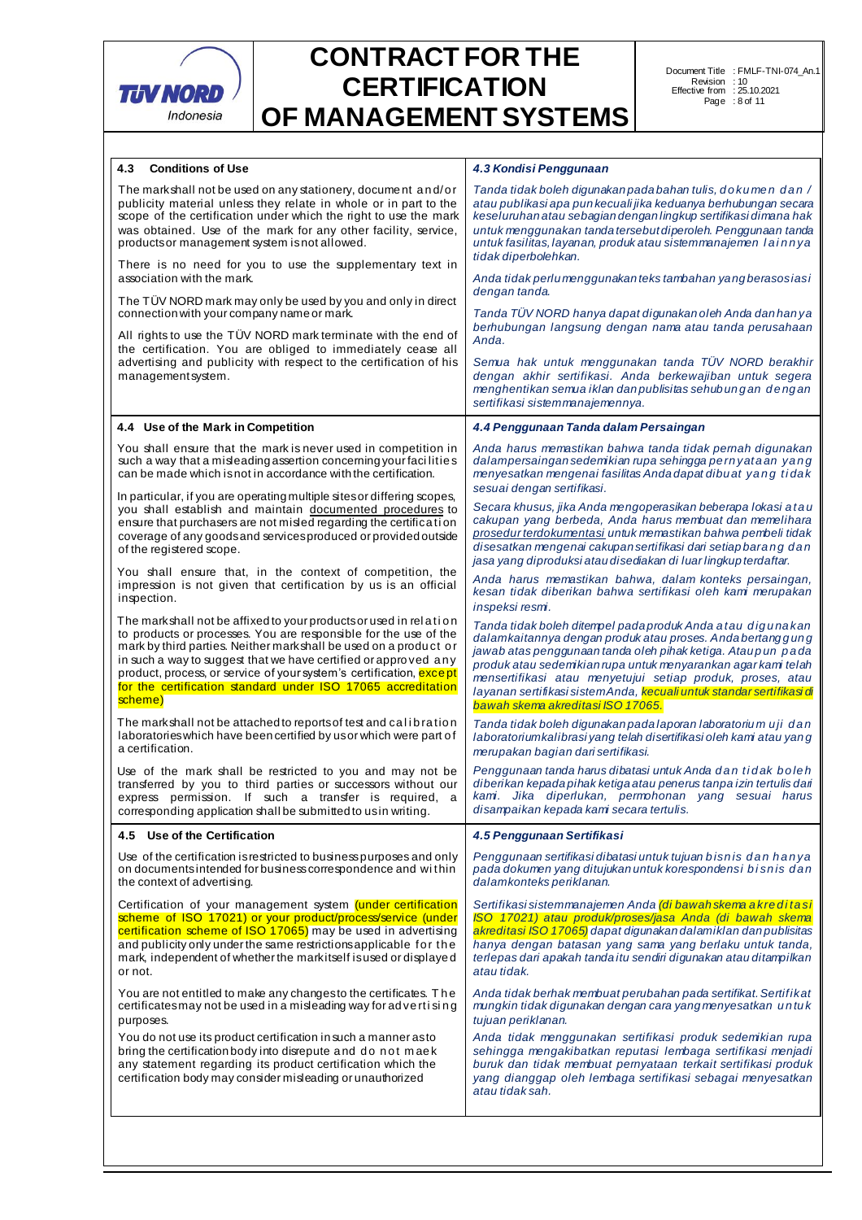

| 4.3<br><b>Conditions of Use</b>                                                                                                                                                                                                                                                                                                                                                                                                        | 4.3 Kondisi Penggunaan                                                                                                                                                                                                                                                                                                                                                                                                               |
|----------------------------------------------------------------------------------------------------------------------------------------------------------------------------------------------------------------------------------------------------------------------------------------------------------------------------------------------------------------------------------------------------------------------------------------|--------------------------------------------------------------------------------------------------------------------------------------------------------------------------------------------------------------------------------------------------------------------------------------------------------------------------------------------------------------------------------------------------------------------------------------|
| The mark shall not be used on any stationery, document and/or<br>publicity material unless they relate in whole or in part to the<br>scope of the certification under which the right to use the mark<br>was obtained. Use of the mark for any other facility, service,<br>products or management system is not allowed.                                                                                                               | Tanda tidak boleh digunakan pada bahan tulis, do kumen dan /<br>atau publikasi apa pun kecuali jika keduanya berhubungan secara<br>keseluruhan atau sebagian dengan lingkup sertifikasi dimana hak<br>untuk menggunakan tanda tersebut diperoleh. Penggunaan tanda<br>untuk fasilitas, layanan, produk atau sistemmanajemen lainnya<br>tidak diperbolehkan.                                                                          |
| There is no need for you to use the supplementary text in<br>association with the mark.                                                                                                                                                                                                                                                                                                                                                | Anda tidak perlu menggunakan teks tambahan yang berasosiasi                                                                                                                                                                                                                                                                                                                                                                          |
| The TUV NORD mark may only be used by you and only in direct<br>connection with your company name or mark.                                                                                                                                                                                                                                                                                                                             | dengan tanda.<br>Tanda TÜV NORD hanya dapat digunakan oleh Anda dan han ya                                                                                                                                                                                                                                                                                                                                                           |
| All rights to use the TUV NORD mark terminate with the end of<br>the certification. You are obliged to immediately cease all<br>advertising and publicity with respect to the certification of his<br>managementsystem.                                                                                                                                                                                                                | berhubungan langsung dengan nama atau tanda perusahaan<br>Anda.<br>Semua hak untuk menggunakan tanda TÜV NORD berakhir<br>dengan akhir sertifikasi. Anda berkewajiban untuk segera                                                                                                                                                                                                                                                   |
|                                                                                                                                                                                                                                                                                                                                                                                                                                        | menghentikan semua iklan dan publisitas sehubungan dengan<br>sertifikasi sistemmanajemennya.                                                                                                                                                                                                                                                                                                                                         |
| 4.4 Use of the Mark in Competition                                                                                                                                                                                                                                                                                                                                                                                                     | 4.4 Penggunaan Tanda dalam Persaingan                                                                                                                                                                                                                                                                                                                                                                                                |
| You shall ensure that the mark is never used in competition in<br>such a way that a misleading assertion concerning your facilities<br>can be made which isnot in accordance with the certification.                                                                                                                                                                                                                                   | Anda harus memastikan bahwa tanda tidak pernah digunakan<br>dalampersaingan sedemikian rupa sehingga pernyataan yang<br>menyesatkan mengenai fasilitas Anda dapat dibuat yang tidak<br>sesuai dengan sertifikasi.                                                                                                                                                                                                                    |
| In particular, if you are operating multiple sites or differing scopes,<br>you shall establish and maintain documented procedures to<br>ensure that purchasers are not misled regarding the certification<br>coverage of any goods and services produced or provided outside<br>of the registered scope.                                                                                                                               | Secara khusus, jika Anda mengoperasikan beberapa lokasi atau<br>cakupan yang berbeda, Anda harus membuat dan memelihara<br>prosedur terdokumentasi untuk memastikan bahwa pembeli tidak<br>disesatkan mengenai cakupan sertifikasi dari setiap barang dan<br>jasa yang diproduksi atau disediakan di luar lingkup terdaftar.                                                                                                         |
| You shall ensure that, in the context of competition, the<br>impression is not given that certification by us is an official<br>inspection.                                                                                                                                                                                                                                                                                            | Anda harus memastikan bahwa, dalam konteks persaingan,<br>kesan tidak diberikan bahwa sertifikasi oleh kami merupakan<br>inspeksi resmi.                                                                                                                                                                                                                                                                                             |
| The markshall not be affixed to your products or used in relation<br>to products or processes. You are responsible for the use of the<br>mark by third parties. Neither mark shall be used on a product or<br>in such a way to suggest that we have certified or approved any<br>product, process, or service of your system's certification, <b>except</b><br>for the certification standard under ISO 17065 accreditation<br>scheme) | Tanda tidak boleh ditempel pada produk Anda atau digunakan<br>dalamkaitannya dengan produk atau proses. Anda bertanggung<br>jawab atas penggunaan tanda oleh pihak ketiga. Ataupun pada<br>produk atau sedemikian rupa untuk menyarankan agar kami telah<br>mensertifikasi atau menyetujui setiap produk, proses, atau<br>layanan sertifikasi sistem Anda, kecuali untuk standar sertifikasi di<br>bawah skema akreditasi ISO 17065. |
| The markshall not be attached to reports of test and calibration<br>laboratories which have been certified by us or which were part of<br>a certification.                                                                                                                                                                                                                                                                             | Tanda tidak boleh digunakan pada laporan laboratoriu muji dan<br>laboratorium kalibrasi yang telah disertifikasi oleh kami atau yang<br>merupakan bagian dari sertifikasi.                                                                                                                                                                                                                                                           |
| Use of the mark shall be restricted to you and may not be<br>transferred by you to third parties or successors without our<br>express permission. If such a transfer is required,<br>a<br>corresponding application shall be submitted to us in writing.                                                                                                                                                                               | Penggunaan tanda harus dibatasi untuk Anda dan tidak boleh<br>diberikan kepada pihak ketiga atau penerus tanpa izin tertulis dari<br>kami. Jika diperlukan, permohonan yang sesuai harus<br>disampaikan kepada kami secara tertulis.                                                                                                                                                                                                 |
| 4.5 Use of the Certification                                                                                                                                                                                                                                                                                                                                                                                                           | 4.5 Penggunaan Sertifikasi                                                                                                                                                                                                                                                                                                                                                                                                           |
| Use of the certification is restricted to business purposes and only<br>on documents intended for business correspondence and within<br>the context of advertising.                                                                                                                                                                                                                                                                    | Penggunaan sertifikasi dibatasi untuk tujuan bisnis dan hanya<br>pada dokumen yang ditujukan untuk korespondensi bisnis dan<br>dalamkonteks periklanan.                                                                                                                                                                                                                                                                              |
| Certification of your management system <i>(under certification</i><br>scheme of ISO 17021) or your product/process/service (under<br>certification scheme of ISO 17065) may be used in advertising<br>and publicity only under the same restrictions applicable for the<br>mark, independent of whether the markitself is used or displayed<br>or not.                                                                                | Sertifikasi sistemmanajemen Anda (di bawah skema akreditasi<br>ISO 17021) atau produk/proses/jasa Anda (di bawah skema<br>akreditasi ISO 17065) dapat digunakan dalamiklan dan publisitas<br>hanya dengan batasan yang sama yang berlaku untuk tanda,<br>terlepas dari apakah tanda itu sendiri digunakan atau ditampilkan<br>atau tidak.                                                                                            |
| You are not entitled to make any changes to the certificates. The<br>certificates may not be used in a misleading way for advertising<br>purposes.                                                                                                                                                                                                                                                                                     | Anda tidak berhak membuat perubahan pada sertifikat. Sertifikat<br>mungkin tidak digunakan dengan cara yang menyesatkan untuk<br>tujuan periklanan.                                                                                                                                                                                                                                                                                  |
| You do not use its product certification in such a manner as to<br>bring the certification body into disrepute and do not maek<br>any statement regarding its product certification which the<br>certification body may consider misleading or unauthorized                                                                                                                                                                            | Anda tidak menggunakan sertifikasi produk sedemikian rupa<br>sehingga mengakibatkan reputasi lembaga sertifikasi menjadi<br>buruk dan tidak membuat pernyataan terkait sertifikasi produk<br>yang dianggap oleh lembaga sertifikasi sebagai menyesatkan<br>atau tidak sah.                                                                                                                                                           |
|                                                                                                                                                                                                                                                                                                                                                                                                                                        |                                                                                                                                                                                                                                                                                                                                                                                                                                      |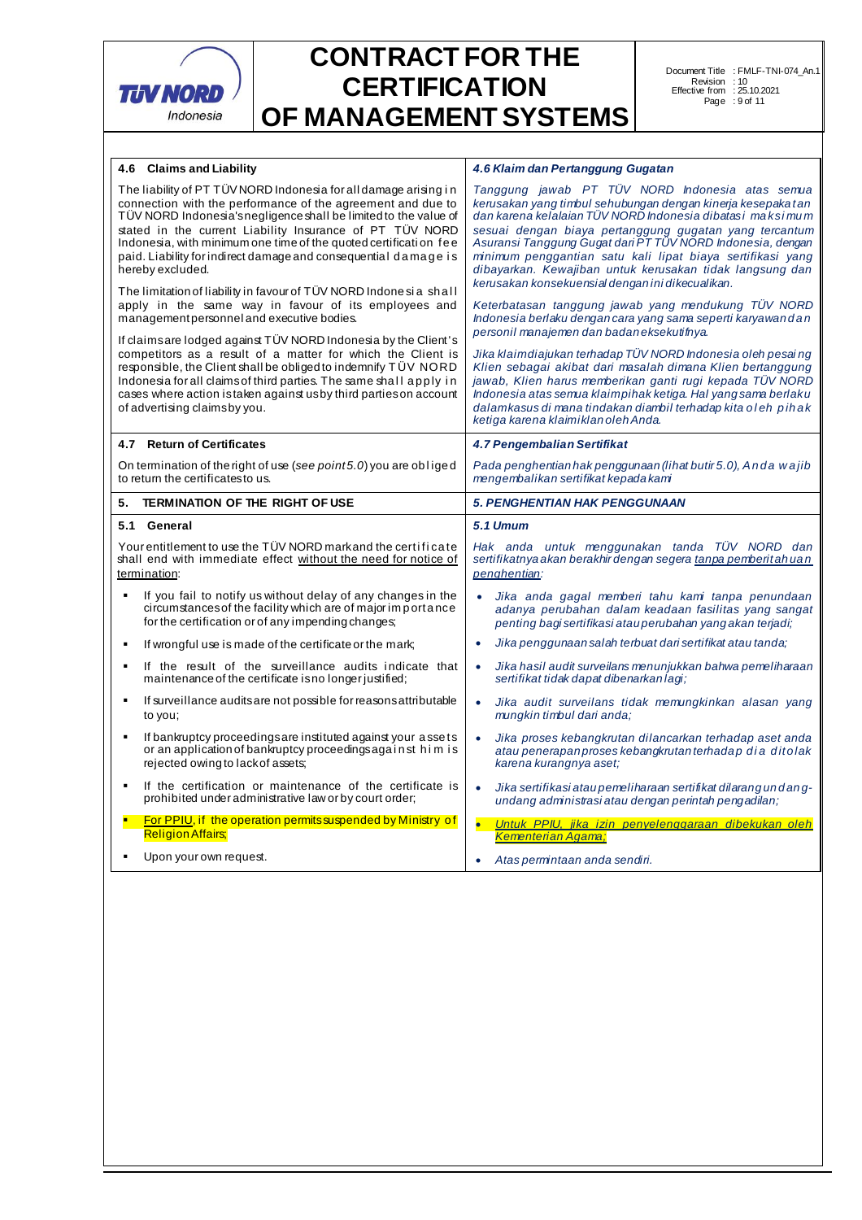

| 4.6 Claims and Liability                                                                                                                                                                                                                                                                                                                                                                                                                                                                        | 4.6 Klaim dan Pertanggung Gugatan                                                                                                                                                                                                                                                                                                                                                                                                                                                  |  |  |  |
|-------------------------------------------------------------------------------------------------------------------------------------------------------------------------------------------------------------------------------------------------------------------------------------------------------------------------------------------------------------------------------------------------------------------------------------------------------------------------------------------------|------------------------------------------------------------------------------------------------------------------------------------------------------------------------------------------------------------------------------------------------------------------------------------------------------------------------------------------------------------------------------------------------------------------------------------------------------------------------------------|--|--|--|
| The liability of PT TÜV NORD Indonesia for all damage arising in<br>connection with the performance of the agreement and due to<br>TÜV NORD Indonesia's negligence shall be limited to the value of<br>stated in the current Liability Insurance of PT TUV NORD<br>Indonesia, with minimum one time of the quoted certification fee<br>paid. Liability for indirect damage and consequential damage is<br>hereby excluded.<br>The limitation of liability in favour of TÜV NORD Indonesia shall | Tanggung jawab PT TÜV NORD Indonesia atas semua<br>kerusakan yang timbul sehubungan dengan kinerja kesepaka tan<br>dan karena kelalajan TÜV NORD Indonesia dibatasi maksimum<br>sesuai dengan biaya pertanggung gugatan yang tercantum<br>Asuransi Tanggung Gugat dari PT TÜV NORD Indonesia, dengan<br>minimum penggantian satu kali lipat biaya sertifikasi yang<br>dibayarkan. Kewajiban untuk kerusakan tidak langsung dan<br>kerusakan konsekuensial dengan ini dikecualikan. |  |  |  |
| apply in the same way in favour of its employees and<br>managementpersonnel and executive bodies.                                                                                                                                                                                                                                                                                                                                                                                               | Keterbatasan tanggung jawab yang mendukung TUV NORD<br>Indonesia berlaku dengan cara yang sama seperti karyawan dan<br>personil manajemen dan badan eksekutifnya.                                                                                                                                                                                                                                                                                                                  |  |  |  |
| If claimsare lodged against TÜV NORD Indonesia by the Client's<br>competitors as a result of a matter for which the Client is<br>responsible, the Client shall be obliged to indemnify T UV NORD<br>Indonesia for all claims of third parties. The same shall apply in<br>cases where action is taken against us by third parties on account<br>of advertising claimsby you.                                                                                                                    | Jika klaimdiajukan terhadap TÜV NORD Indonesia oleh pesai ng<br>Klien sebagai akibat dari masalah dimana Klien bertanggung<br>jawab, Klien harus memberikan ganti rugi kepada TÜV NORD<br>Indonesia atas semua klaimpihak ketiga. Hal yang sama berlaku<br>dalamkasus di mana tindakan diambil terhadap kita oleh pihak<br>ketiga karena klaimiklan oleh Anda.                                                                                                                     |  |  |  |
| 4.7 Return of Certificates                                                                                                                                                                                                                                                                                                                                                                                                                                                                      | 4.7 Pengembalian Sertifikat                                                                                                                                                                                                                                                                                                                                                                                                                                                        |  |  |  |
| On termination of the right of use (see point 5.0) you are obliged<br>to return the certificatesto us.                                                                                                                                                                                                                                                                                                                                                                                          | Pada penghentian hak penggunaan (lihat butir 5.0), Anda wa jib<br>mengembalikan sertifikat kepada kami                                                                                                                                                                                                                                                                                                                                                                             |  |  |  |
| <b>TERMINATION OF THE RIGHT OF USE</b><br>5.                                                                                                                                                                                                                                                                                                                                                                                                                                                    | <b>5. PENGHENTIAN HAK PENGGUNAAN</b>                                                                                                                                                                                                                                                                                                                                                                                                                                               |  |  |  |
|                                                                                                                                                                                                                                                                                                                                                                                                                                                                                                 | <b>5.1 Umum</b>                                                                                                                                                                                                                                                                                                                                                                                                                                                                    |  |  |  |
| 5.1 General                                                                                                                                                                                                                                                                                                                                                                                                                                                                                     |                                                                                                                                                                                                                                                                                                                                                                                                                                                                                    |  |  |  |
| Your entitlement to use the TÜV NORD markand the certificate<br>shall end with immediate effect without the need for notice of<br>termination:                                                                                                                                                                                                                                                                                                                                                  | Hak anda untuk menggunakan tanda TÜV NORD dan<br>sertifikatnya akan berakhir dengan segera tanpa pemberitah uan<br>penghentian:                                                                                                                                                                                                                                                                                                                                                    |  |  |  |
| If you fail to notify us without delay of any changes in the<br>circumstances of the facility which are of major importance<br>for the certification or of any impending changes;                                                                                                                                                                                                                                                                                                               | Jika anda gagal memberi tahu kami tanpa penundaan<br>$\bullet$<br>adanya perubahan dalam keadaan fasilitas yang sangat<br>penting bagi sertifikasi atau perubahan yang akan terjadi;                                                                                                                                                                                                                                                                                               |  |  |  |
| If wrongful use is made of the certificate or the mark:                                                                                                                                                                                                                                                                                                                                                                                                                                         | Jika penggunaan salah terbuat dari sertifikat atau tanda:<br>$\bullet$                                                                                                                                                                                                                                                                                                                                                                                                             |  |  |  |
| If the result of the surveillance audits indicate that<br>maintenance of the certificate is no longer justified;                                                                                                                                                                                                                                                                                                                                                                                | Jika hasil audit surveilans menunjukkan bahwa pemeliharaan<br>$\bullet$<br>sertifikat tidak dapat dibenarkan lagi;                                                                                                                                                                                                                                                                                                                                                                 |  |  |  |
| If surveillance audits are not possible for reasons attributable<br>٠<br>to you;                                                                                                                                                                                                                                                                                                                                                                                                                | Jika audit surveilans tidak memungkinkan alasan yang<br>$\bullet$<br>mungkin timbul dari anda;                                                                                                                                                                                                                                                                                                                                                                                     |  |  |  |
| If bankruptcy proceedings are instituted against your assets<br>٠<br>or an application of bankruptcy proceedings against him is<br>rejected owing to lack of assets;                                                                                                                                                                                                                                                                                                                            | Jika proses kebangkrutan dilancarkan terhadap aset anda<br>$\bullet$<br>atau penerapan proses kebangkrutan terhadap dia ditolak<br>karena kurangnya aset;                                                                                                                                                                                                                                                                                                                          |  |  |  |
| If the certification or maintenance of the certificate is<br>$\blacksquare$<br>prohibited under administrative law or by court order;                                                                                                                                                                                                                                                                                                                                                           | Jika sertifikasi ataupemeliharaan sertifikat dilarangundang-<br>$\bullet$<br>undang administrasi atau dengan perintah pengadilan;                                                                                                                                                                                                                                                                                                                                                  |  |  |  |
| <b>For PPIU, if the operation permits suspended by Ministry of</b><br><b>Religion Affairs</b> ;                                                                                                                                                                                                                                                                                                                                                                                                 | $\bullet$<br>Untuk PPIU, jika izin penyelenggaraan dibekukan oleh<br>Kementerian Agama:                                                                                                                                                                                                                                                                                                                                                                                            |  |  |  |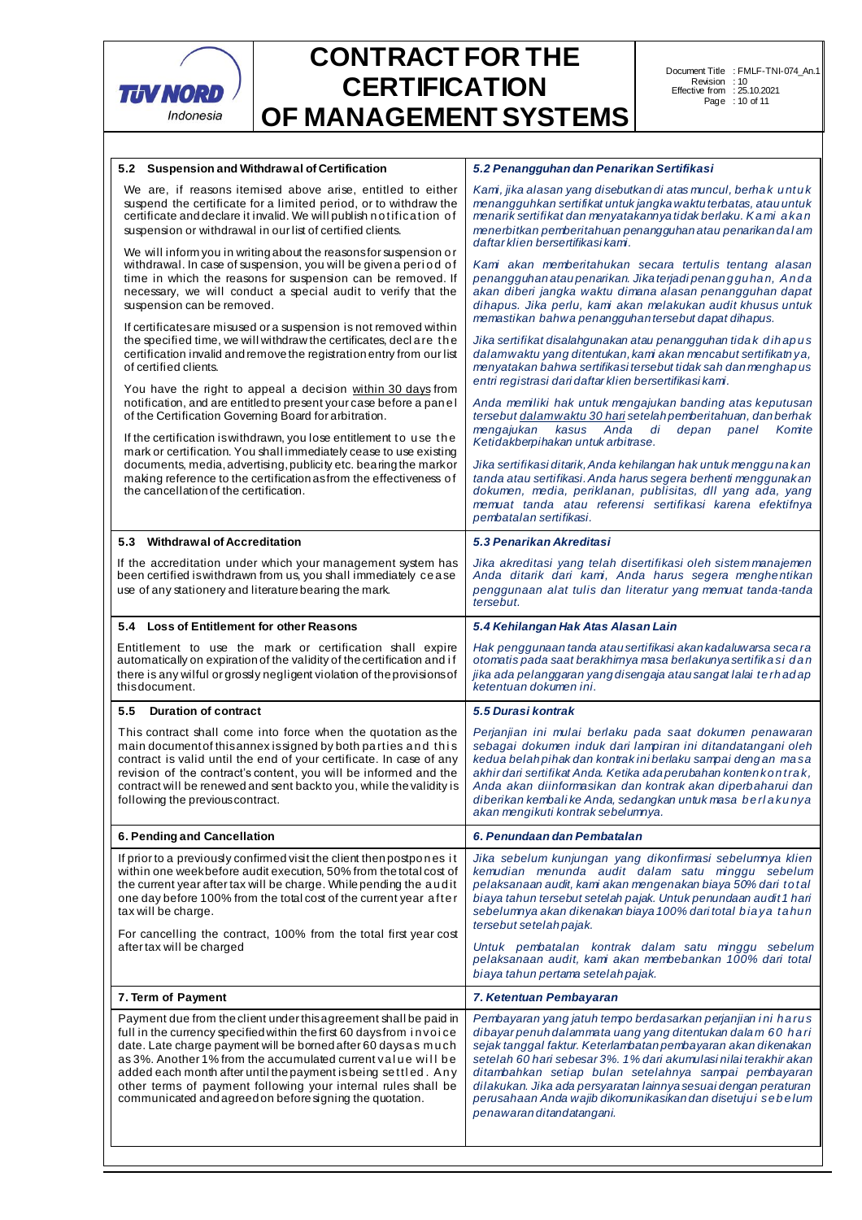

| 5.2 Suspension and Withdraw al of Certification                                                                                                                                                                                                                                                                                                                                                                                                                           | 5.2 Penangguhan dan Penarikan Sertifikasi                                                                                                                                                                                                                                                                                                                                                                                                                                                |  |  |
|---------------------------------------------------------------------------------------------------------------------------------------------------------------------------------------------------------------------------------------------------------------------------------------------------------------------------------------------------------------------------------------------------------------------------------------------------------------------------|------------------------------------------------------------------------------------------------------------------------------------------------------------------------------------------------------------------------------------------------------------------------------------------------------------------------------------------------------------------------------------------------------------------------------------------------------------------------------------------|--|--|
| We are, if reasons itemised above arise, entitled to either<br>suspend the certificate for a limited period, or to withdraw the<br>certificate and declare it invalid. We will publish notification of<br>suspension or withdrawal in our list of certified clients.                                                                                                                                                                                                      | Kam, jika alasan yang disebutkan di atas muncul, berha kuntuk<br>menangguhkan sertifikat untuk jangka waktu terbatas, atau untuk<br>menarik sertifikat dan menyatakannya tidak berlaku. Kami akan<br>menerbitkan pemberitahuan penangguhan atau penarikan dalam<br>daftar klien bersertifikasi kami.                                                                                                                                                                                     |  |  |
| We will inform you in writing about the reasons for suspension or<br>withdrawal. In case of suspension, you will be given a period of<br>time in which the reasons for suspension can be removed. If<br>necessary, we will conduct a special audit to verify that the<br>suspension can be removed.                                                                                                                                                                       | Kami akan memberitahukan secara tertulis tentang alasan<br>penangguhan atau penarikan. Jika terjadi penanggu han, Anda<br>akan diberi jangka waktu dimana alasan penangguhan dapat<br>dihapus. Jika perlu, kami akan melakukan audit khusus untuk<br>memastikan bahwa penangguhan tersebut dapat dihapus.                                                                                                                                                                                |  |  |
| If certificates are misused or a suspension is not removed within<br>the specified time, we will withdraw the certificates, declare the<br>certification invalid and remove the registration entry from our list<br>of certified clients.                                                                                                                                                                                                                                 | Jika sertifikat disalahgunakan atau penangguhan tidak dihapus<br>dalamwaktu yang ditentukan, kami akan mencabut sertifikatnya,<br>menyatakan bahwa sertifikasi tersebut tidak sah dan menghapus<br>entri registrasi dari daftar klien bersertifikasi kami.                                                                                                                                                                                                                               |  |  |
| You have the right to appeal a decision within 30 days from<br>notification, and are entitled to present your case before a panel<br>of the Certification Governing Board for arbitration.                                                                                                                                                                                                                                                                                | Anda memiliki hak untuk mengajukan banding atas keputusan<br>tersebut dalamwaktu 30 hari setelah pemberitahuan, dan berhak<br>mengajukan<br>kasus<br>Anda<br>di<br>depan<br>panel<br>Komite                                                                                                                                                                                                                                                                                              |  |  |
| If the certification is withdrawn, you lose entitlement to use the<br>mark or certification. You shall immediately cease to use existing                                                                                                                                                                                                                                                                                                                                  | Ketidakberpihakan untuk arbitrase.                                                                                                                                                                                                                                                                                                                                                                                                                                                       |  |  |
| documents, media, advertising, publicity etc. bearing the mark or<br>making reference to the certification as from the effectiveness of<br>the cancellation of the certification.                                                                                                                                                                                                                                                                                         | Jika sertifikasi ditarik, Anda kehilangan hak untuk mengguna kan<br>tanda atau sertifikasi. Anda harus segera berhenti menggunakan<br>dokumen, media, periklanan, publisitas, dll yang ada, yang<br>memuat tanda atau referensi sertifikasi karena efektifnya<br>pembatalan sertifikasi.                                                                                                                                                                                                 |  |  |
| 5.3 Withdrawal of Accreditation                                                                                                                                                                                                                                                                                                                                                                                                                                           | 5.3 Penarikan Akreditasi                                                                                                                                                                                                                                                                                                                                                                                                                                                                 |  |  |
| If the accreditation under which your management system has<br>been certified is withdrawn from us, you shall immediately cease<br>use of any stationery and literature bearing the mark.                                                                                                                                                                                                                                                                                 | Jika akreditasi yang telah disertifikasi oleh sistem manajemen<br>Anda ditarik dari kami, Anda harus segera menghentikan<br>penggunaan alat tulis dan literatur yang memuat tanda-tanda<br>tersebut.                                                                                                                                                                                                                                                                                     |  |  |
| 5.4 Loss of Entitlement for other Reasons                                                                                                                                                                                                                                                                                                                                                                                                                                 | 5.4 Kehilangan Hak Atas Alasan Lain                                                                                                                                                                                                                                                                                                                                                                                                                                                      |  |  |
| Entitlement to use the mark or certification shall expire<br>automatically on expiration of the validity of the certification and if<br>there is any wilful or grossly negligent violation of the provisions of<br>thisdocument.                                                                                                                                                                                                                                          | Hak penggunaan tanda atau sertifikasi akan kadaluwarsa seca ra<br>otomatis pada saat berakhirnya masa berlakunya sertifika si dan<br>jika ada pelanggaran yang disengaja atau sangat lalai terhadap<br>ketentuan dokumen ini.                                                                                                                                                                                                                                                            |  |  |
| 5.5<br><b>Duration of contract</b>                                                                                                                                                                                                                                                                                                                                                                                                                                        | 5.5 Durasi kontrak                                                                                                                                                                                                                                                                                                                                                                                                                                                                       |  |  |
| This contract shall come into force when the quotation as the<br>main document of this annexissigned by both parties and this<br>contract is valid until the end of your certificate. In case of any<br>revision of the contract's content, you will be informed and the<br>contract will be renewed and sent backto you, while the validity is<br>following the previous contract.                                                                                       | Perjanjian ini mulai berlaku pada saat dokumen penawaran<br>sebagai dokumen induk dari lampiran ini ditandatangani oleh<br>kedua belah pihak dan kontrak ini berlaku sampai dengan masa<br>akhir dari sertifikat Anda. Ketika ada perubahan konten kontrak,<br>Anda akan diinformasikan dan kontrak akan diperbaharui dan<br>diberikan kembalike Anda, sedangkan untuk masa berlakunya<br>akan mengikuti kontrak sebelumnya.                                                             |  |  |
| 6. Pending and Cancellation                                                                                                                                                                                                                                                                                                                                                                                                                                               | 6. Penundaan dan Pembatalan                                                                                                                                                                                                                                                                                                                                                                                                                                                              |  |  |
| If prior to a previously confirmed visit the client then postpones it<br>within one weekbefore audit execution, 50% from the total cost of<br>the current year after tax will be charge. While pending the audit<br>one day before 100% from the total cost of the current year after<br>tax will be charge.                                                                                                                                                              | Jika sebelum kunjungan yang dikonfirmasi sebelumnya klien<br>kemudian menunda audit dalam satu minggu sebelum<br>pelaksanaan audit, kami akan mengenakan biaya 50% dari total<br>biaya tahun tersebut setelah pajak. Untuk penundaan audit 1 hari<br>sebelumnya akan dikenakan biaya 100% dari total biaya tahun<br>tersebut setelah pajak.                                                                                                                                              |  |  |
| For cancelling the contract, 100% from the total first year cost<br>after tax will be charged                                                                                                                                                                                                                                                                                                                                                                             | Untuk pembatalan kontrak dalam satu minggu sebelum<br>pelaksanaan audit, kami akan membebankan 100% dari total<br>biaya tahun pertama setelah pajak.                                                                                                                                                                                                                                                                                                                                     |  |  |
| 7. Term of Payment                                                                                                                                                                                                                                                                                                                                                                                                                                                        | 7. Ketentuan Pembayaran                                                                                                                                                                                                                                                                                                                                                                                                                                                                  |  |  |
| Payment due from the client under this agreement shall be paid in<br>full in the currency specified within the first 60 days from invoice<br>date. Late charge payment will be borned after 60 daysas much<br>as 3%. Another 1% from the accumulated current value will be<br>added each month after until the payment is being settled. Any<br>other terms of payment following your internal rules shall be<br>communicated and agreed on before signing the quotation. | Pembayaran yang jatuh tempo berdasarkan perjanjian ini harus<br>dibayar penuh dalammata uang yang ditentukan dalam 60 hari<br>sejak tanggal faktur. Keterlambatan pembayaran akan dikenakan<br>setelah 60 hari sebesar 3%. 1% dari akumulasi nilai terakhir akan<br>ditambahkan setiap bulan setelahnya sampai pembayaran<br>dilakukan. Jika ada persyaratan lainnya sesuai dengan peraturan<br>perusahaan Anda wajib dikomunikasikan dan disetujui sebelum<br>penawaran ditandatangani. |  |  |
|                                                                                                                                                                                                                                                                                                                                                                                                                                                                           |                                                                                                                                                                                                                                                                                                                                                                                                                                                                                          |  |  |